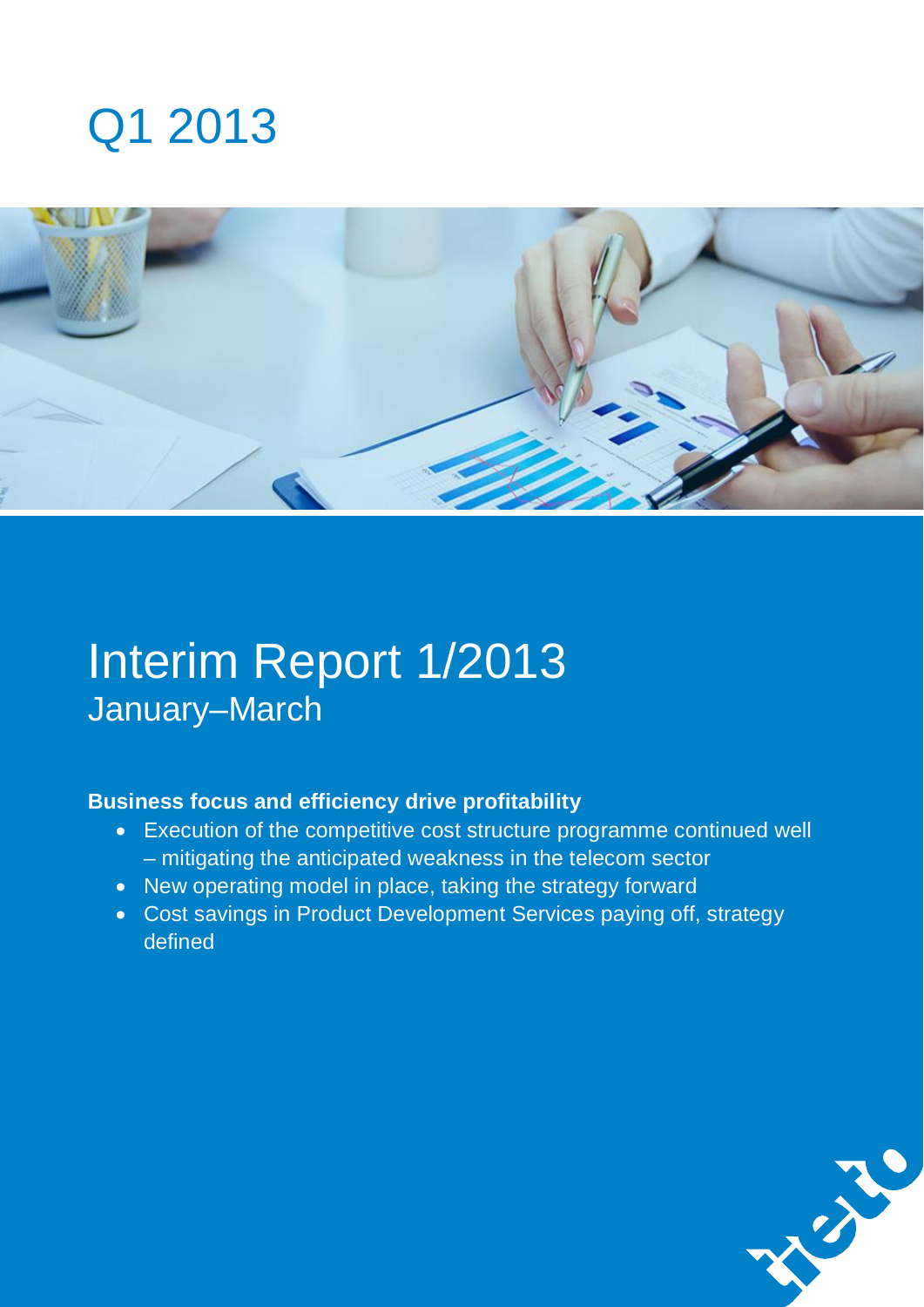# Q1 2013



# Interim Report 1/2013 January–March

### **Business focus and efficiency drive profitability**

- Execution of the competitive cost structure programme continued well – mitigating the anticipated weakness in the telecom sector
- New operating model in place, taking the strategy forward
- Cost savings in Product Development Services paying off, strategy defined

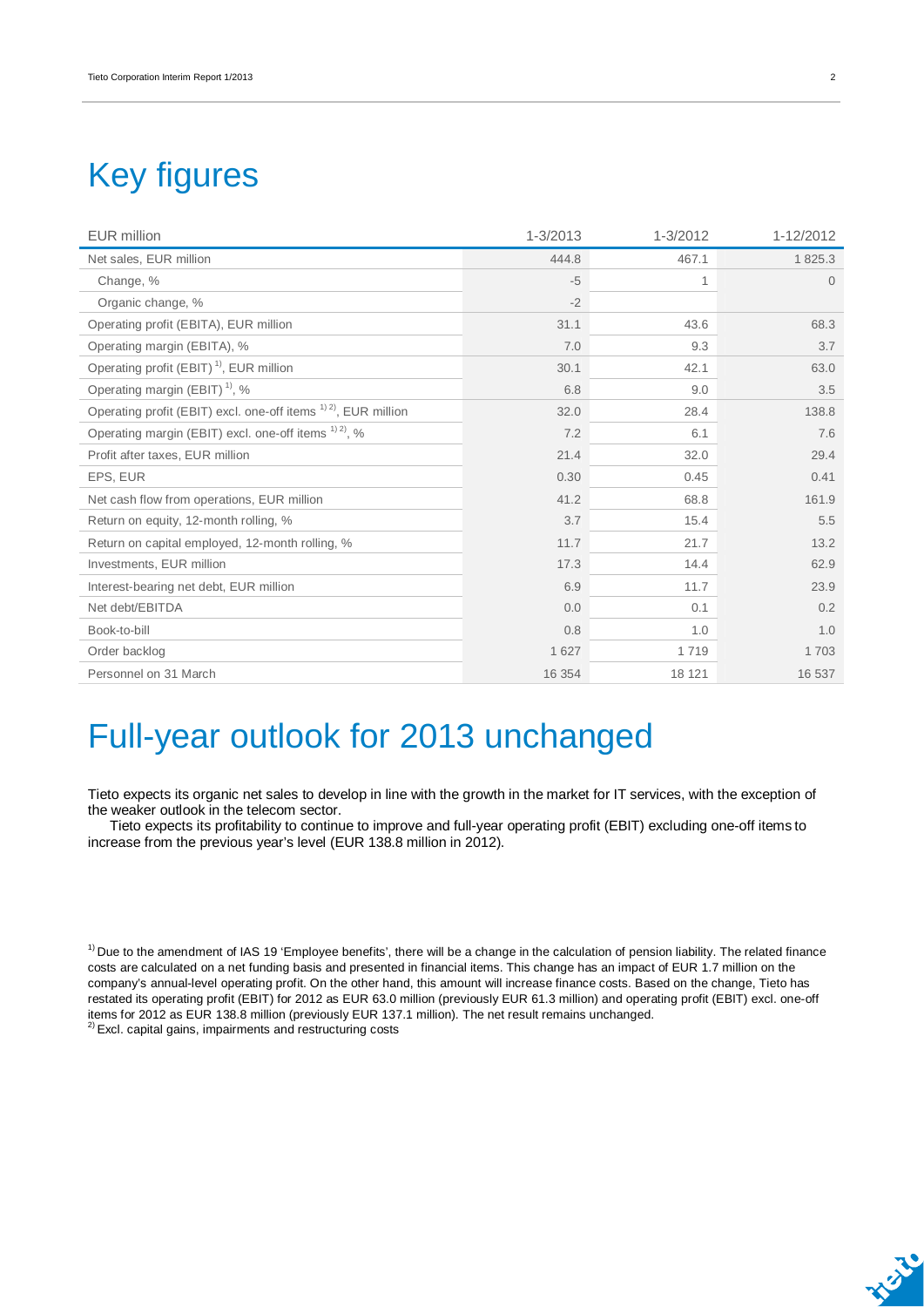## Key figures

| <b>EUR</b> million                                                         | 1-3/2013 | 1-3/2012 | 1-12/2012 |
|----------------------------------------------------------------------------|----------|----------|-----------|
| Net sales, EUR million                                                     | 444.8    | 467.1    | 1825.3    |
| Change, %                                                                  | $-5$     | 1        | $\Omega$  |
| Organic change, %                                                          | $-2$     |          |           |
| Operating profit (EBITA), EUR million                                      | 31.1     | 43.6     | 68.3      |
| Operating margin (EBITA), %                                                | 7.0      | 9.3      | 3.7       |
| Operating profit (EBIT) <sup>1)</sup> , EUR million                        | 30.1     | 42.1     | 63.0      |
| Operating margin (EBIT) <sup>1)</sup> , %                                  | 6.8      | 9.0      | 3.5       |
| Operating profit (EBIT) excl. one-off items <sup>1) 2)</sup> , EUR million | 32.0     | 28.4     | 138.8     |
| Operating margin (EBIT) excl. one-off items <sup>1) 2)</sup> , %           | 7.2      | 6.1      | 7.6       |
| Profit after taxes, EUR million                                            | 21.4     | 32.0     | 29.4      |
| EPS, EUR                                                                   | 0.30     | 0.45     | 0.41      |
| Net cash flow from operations, EUR million                                 | 41.2     | 68.8     | 161.9     |
| Return on equity, 12-month rolling, %                                      | 3.7      | 15.4     | 5.5       |
| Return on capital employed, 12-month rolling, %                            | 11.7     | 21.7     | 13.2      |
| Investments, EUR million                                                   | 17.3     | 14.4     | 62.9      |
| Interest-bearing net debt, EUR million                                     | 6.9      | 11.7     | 23.9      |
| Net debt/EBITDA                                                            | 0.0      | 0.1      | 0.2       |
| Book-to-bill                                                               | 0.8      | 1.0      | 1.0       |
| Order backlog                                                              | 1 6 2 7  | 1719     | 1703      |
| Personnel on 31 March                                                      | 16 354   | 18 121   | 16 537    |

## Full-year outlook for 2013 unchanged

Tieto expects its organic net sales to develop in line with the growth in the market for IT services, with the exception of the weaker outlook in the telecom sector.

Tieto expects its profitability to continue to improve and full-year operating profit (EBIT) excluding one-off items to increase from the previous year's level (EUR 138.8 million in 2012).

 $<sup>1</sup>$  Due to the amendment of IAS 19 'Employee benefits', there will be a change in the calculation of pension liability. The related finance</sup> costs are calculated on a net funding basis and presented in financial items. This change has an impact of EUR 1.7 million on the company's annual-level operating profit. On the other hand, this amount will increase finance costs. Based on the change, Tieto has restated its operating profit (EBIT) for 2012 as EUR 63.0 million (previously EUR 61.3 million) and operating profit (EBIT) excl. one-off items for 2012 as EUR 138.8 million (previously EUR 137.1 million). The net result remains unchanged. <sup>2)</sup> Excl. capital gains, impairments and restructuring costs

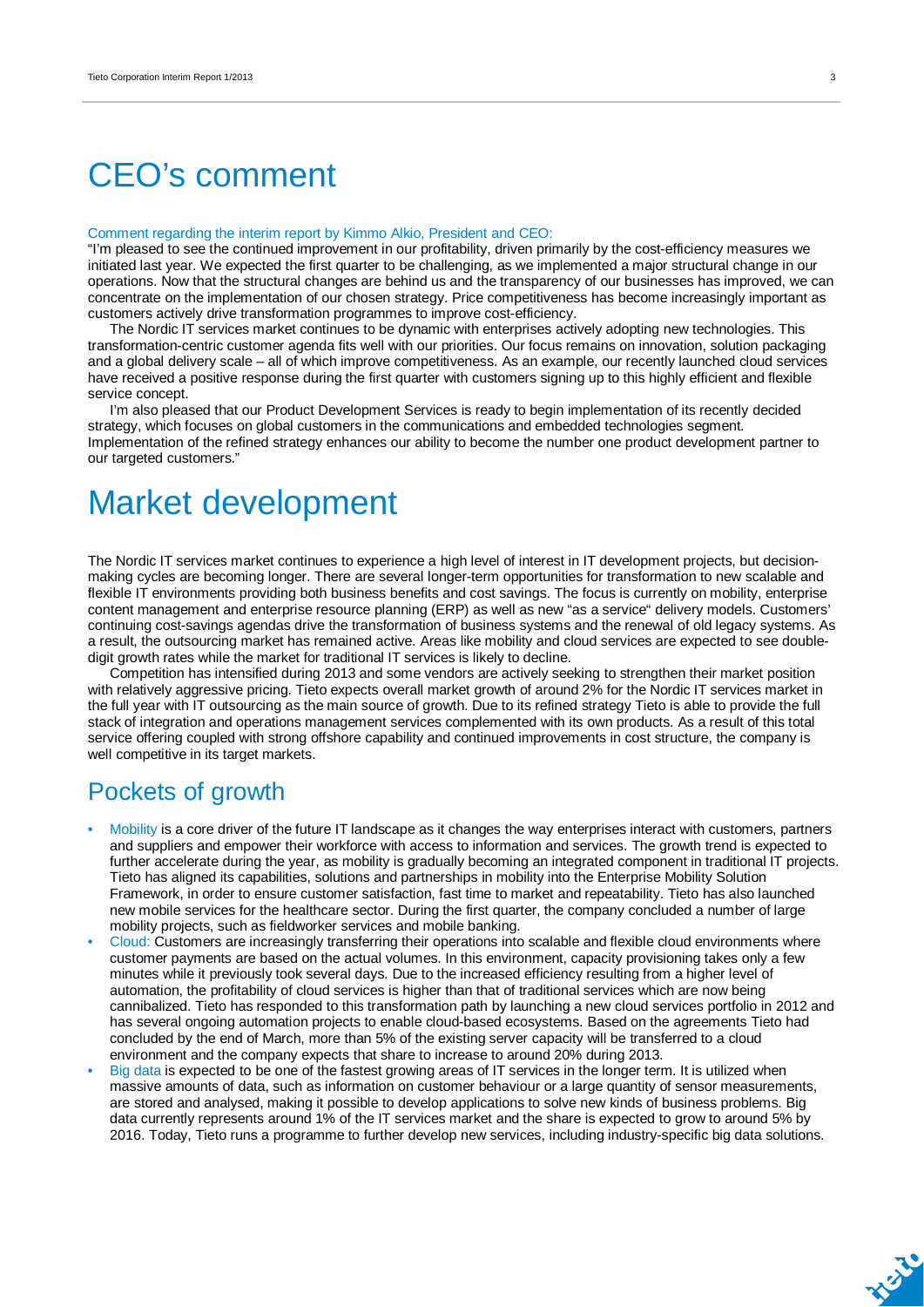## CEO's comment

#### Comment regarding the interim report by Kimmo Alkio, President and CEO:

"I'm pleased to see the continued improvement in our profitability, driven primarily by the cost-efficiency measures we initiated last year. We expected the first quarter to be challenging, as we implemented a major structural change in our operations. Now that the structural changes are behind us and the transparency of our businesses has improved, we can concentrate on the implementation of our chosen strategy. Price competitiveness has become increasingly important as customers actively drive transformation programmes to improve cost-efficiency.

The Nordic IT services market continues to be dynamic with enterprises actively adopting new technologies. This transformation-centric customer agenda fits well with our priorities. Our focus remains on innovation, solution packaging and a global delivery scale – all of which improve competitiveness. As an example, our recently launched cloud services have received a positive response during the first quarter with customers signing up to this highly efficient and flexible service concept.

I'm also pleased that our Product Development Services is ready to begin implementation of its recently decided strategy, which focuses on global customers in the communications and embedded technologies segment. Implementation of the refined strategy enhances our ability to become the number one product development partner to our targeted customers."

### Market development

The Nordic IT services market continues to experience a high level of interest in IT development projects, but decisionmaking cycles are becoming longer. There are several longer-term opportunities for transformation to new scalable and flexible IT environments providing both business benefits and cost savings. The focus is currently on mobility, enterprise content management and enterprise resource planning (ERP) as well as new "as a service" delivery models. Customers' continuing cost-savings agendas drive the transformation of business systems and the renewal of old legacy systems. As a result, the outsourcing market has remained active. Areas like mobility and cloud services are expected to see doubledigit growth rates while the market for traditional IT services is likely to decline.

Competition has intensified during 2013 and some vendors are actively seeking to strengthen their market position with relatively aggressive pricing. Tieto expects overall market growth of around 2% for the Nordic IT services market in the full year with IT outsourcing as the main source of growth. Due to its refined strategy Tieto is able to provide the full stack of integration and operations management services complemented with its own products. As a result of this total service offering coupled with strong offshore capability and continued improvements in cost structure, the company is well competitive in its target markets.

### Pockets of growth

- Mobility is a core driver of the future IT landscape as it changes the way enterprises interact with customers, partners and suppliers and empower their workforce with access to information and services. The growth trend is expected to further accelerate during the year, as mobility is gradually becoming an integrated component in traditional IT projects. Tieto has aligned its capabilities, solutions and partnerships in mobility into the Enterprise Mobility Solution Framework, in order to ensure customer satisfaction, fast time to market and repeatability. Tieto has also launched new mobile services for the healthcare sector. During the first quarter, the company concluded a number of large mobility projects, such as fieldworker services and mobile banking.
- Cloud: Customers are increasingly transferring their operations into scalable and flexible cloud environments where customer payments are based on the actual volumes. In this environment, capacity provisioning takes only a few minutes while it previously took several days. Due to the increased efficiency resulting from a higher level of automation, the profitability of cloud services is higher than that of traditional services which are now being cannibalized. Tieto has responded to this transformation path by launching a new cloud services portfolio in 2012 and has several ongoing automation projects to enable cloud-based ecosystems. Based on the agreements Tieto had concluded by the end of March, more than 5% of the existing server capacity will be transferred to a cloud environment and the company expects that share to increase to around 20% during 2013.
- Big data is expected to be one of the fastest growing areas of IT services in the longer term. It is utilized when massive amounts of data, such as information on customer behaviour or a large quantity of sensor measurements, are stored and analysed, making it possible to develop applications to solve new kinds of business problems. Big data currently represents around 1% of the IT services market and the share is expected to grow to around 5% by 2016. Today, Tieto runs a programme to further develop new services, including industry-specific big data solutions.

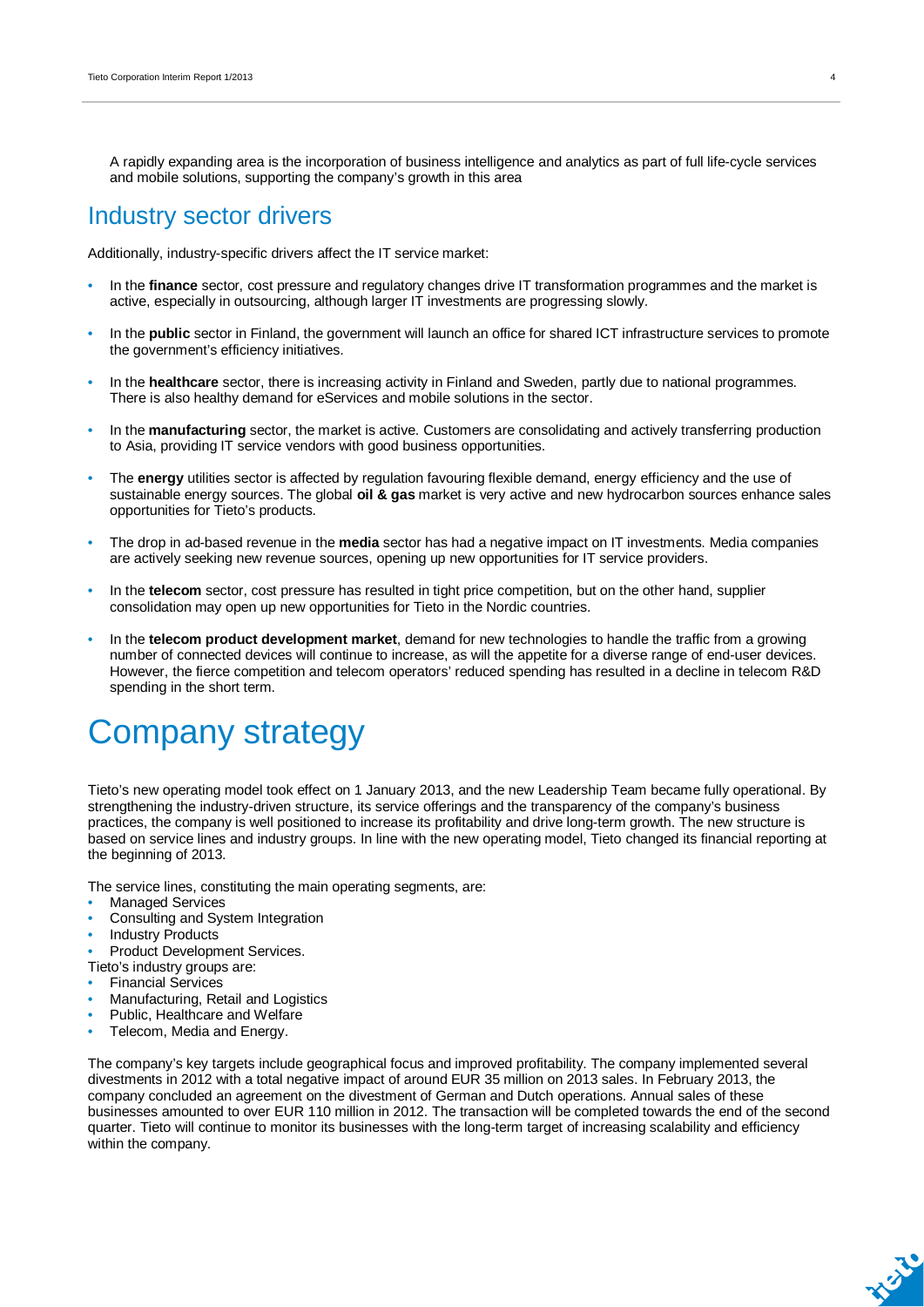A rapidly expanding area is the incorporation of business intelligence and analytics as part of full life-cycle services and mobile solutions, supporting the company's growth in this area

### Industry sector drivers

Additionally, industry-specific drivers affect the IT service market:

- In the **finance** sector, cost pressure and regulatory changes drive IT transformation programmes and the market is active, especially in outsourcing, although larger IT investments are progressing slowly.
- In the **public** sector in Finland, the government will launch an office for shared ICT infrastructure services to promote the government's efficiency initiatives.
- In the **healthcare** sector, there is increasing activity in Finland and Sweden, partly due to national programmes. There is also healthy demand for eServices and mobile solutions in the sector.
- In the **manufacturing** sector, the market is active. Customers are consolidating and actively transferring production to Asia, providing IT service vendors with good business opportunities.
- The **energy** utilities sector is affected by regulation favouring flexible demand, energy efficiency and the use of sustainable energy sources. The global **oil & gas** market is very active and new hydrocarbon sources enhance sales opportunities for Tieto's products.
- The drop in ad-based revenue in the **media** sector has had a negative impact on IT investments. Media companies are actively seeking new revenue sources, opening up new opportunities for IT service providers.
- In the **telecom** sector, cost pressure has resulted in tight price competition, but on the other hand, supplier consolidation may open up new opportunities for Tieto in the Nordic countries.
- In the **telecom product development market**, demand for new technologies to handle the traffic from a growing number of connected devices will continue to increase, as will the appetite for a diverse range of end-user devices. However, the fierce competition and telecom operators' reduced spending has resulted in a decline in telecom R&D spending in the short term.

## Company strategy

Tieto's new operating model took effect on 1 January 2013, and the new Leadership Team became fully operational. By strengthening the industry-driven structure, its service offerings and the transparency of the company's business practices, the company is well positioned to increase its profitability and drive long-term growth. The new structure is based on service lines and industry groups. In line with the new operating model, Tieto changed its financial reporting at the beginning of 2013.

The service lines, constituting the main operating segments, are:

- **Managed Services**
- Consulting and System Integration
- Industry Products

Product Development Services.

- Tieto's industry groups are:
- Financial Services
- Manufacturing, Retail and Logistics
- Public, Healthcare and Welfare
- Telecom, Media and Energy.

The company's key targets include geographical focus and improved profitability. The company implemented several divestments in 2012 with a total negative impact of around EUR 35 million on 2013 sales. In February 2013, the company concluded an agreement on the divestment of German and Dutch operations. Annual sales of these businesses amounted to over EUR 110 million in 2012. The transaction will be completed towards the end of the second quarter. Tieto will continue to monitor its businesses with the long-term target of increasing scalability and efficiency within the company.

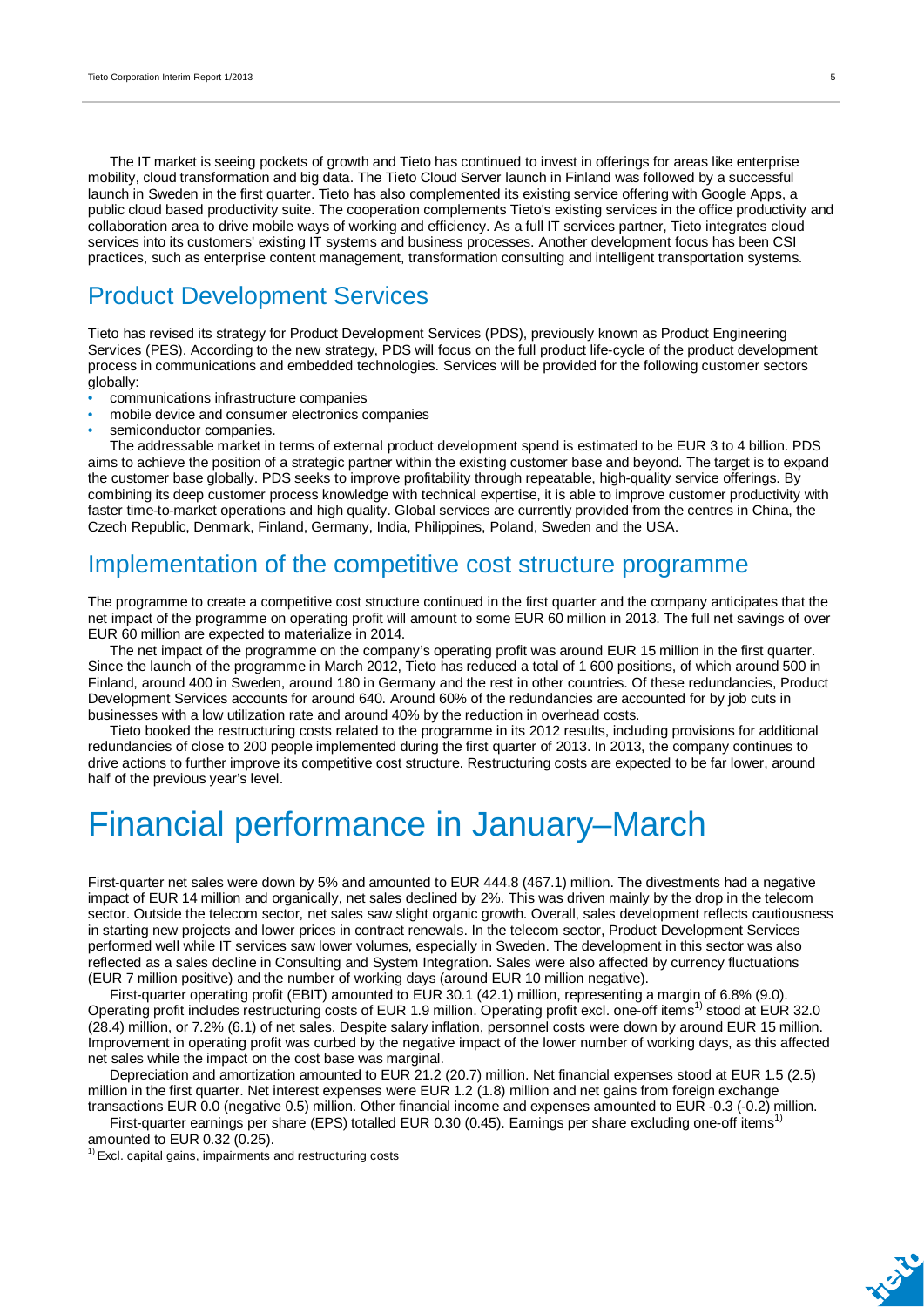The IT market is seeing pockets of growth and Tieto has continued to invest in offerings for areas like enterprise mobility, cloud transformation and big data. The Tieto Cloud Server launch in Finland was followed by a successful launch in Sweden in the first quarter. Tieto has also complemented its existing service offering with Google Apps, a public cloud based productivity suite. The cooperation complements Tieto's existing services in the office productivity and collaboration area to drive mobile ways of working and efficiency. As a full IT services partner, Tieto integrates cloud services into its customers' existing IT systems and business processes. Another development focus has been CSI practices, such as enterprise content management, transformation consulting and intelligent transportation systems.

### Product Development Services

Tieto has revised its strategy for Product Development Services (PDS), previously known as Product Engineering Services (PES). According to the new strategy, PDS will focus on the full product life-cycle of the product development process in communications and embedded technologies. Services will be provided for the following customer sectors globally:

- communications infrastructure companies
- mobile device and consumer electronics companies
- semiconductor companies.

The addressable market in terms of external product development spend is estimated to be EUR 3 to 4 billion. PDS aims to achieve the position of a strategic partner within the existing customer base and beyond. The target is to expand the customer base globally. PDS seeks to improve profitability through repeatable, high-quality service offerings. By combining its deep customer process knowledge with technical expertise, it is able to improve customer productivity with faster time-to-market operations and high quality. Global services are currently provided from the centres in China, the Czech Republic, Denmark, Finland, Germany, India, Philippines, Poland, Sweden and the USA.

### Implementation of the competitive cost structure programme

The programme to create a competitive cost structure continued in the first quarter and the company anticipates that the net impact of the programme on operating profit will amount to some EUR 60 million in 2013. The full net savings of over EUR 60 million are expected to materialize in 2014.

The net impact of the programme on the company's operating profit was around EUR 15 million in the first quarter. Since the launch of the programme in March 2012, Tieto has reduced a total of 1 600 positions, of which around 500 in Finland, around 400 in Sweden, around 180 in Germany and the rest in other countries. Of these redundancies, Product Development Services accounts for around 640. Around 60% of the redundancies are accounted for by job cuts in businesses with a low utilization rate and around 40% by the reduction in overhead costs.

Tieto booked the restructuring costs related to the programme in its 2012 results, including provisions for additional redundancies of close to 200 people implemented during the first quarter of 2013. In 2013, the company continues to drive actions to further improve its competitive cost structure. Restructuring costs are expected to be far lower, around half of the previous year's level.

## Financial performance in January–March

First-quarter net sales were down by 5% and amounted to EUR 444.8 (467.1) million. The divestments had a negative impact of EUR 14 million and organically, net sales declined by 2%. This was driven mainly by the drop in the telecom sector. Outside the telecom sector, net sales saw slight organic growth. Overall, sales development reflects cautiousness in starting new projects and lower prices in contract renewals. In the telecom sector, Product Development Services performed well while IT services saw lower volumes, especially in Sweden. The development in this sector was also reflected as a sales decline in Consulting and System Integration. Sales were also affected by currency fluctuations (EUR 7 million positive) and the number of working days (around EUR 10 million negative).

First-quarter operating profit (EBIT) amounted to EUR 30.1 (42.1) million, representing a margin of 6.8% (9.0). Operating profit includes restructuring costs of EUR 1.9 million. Operating profit excl. one-off items<sup>1)</sup> stood at EUR 32.0 (28.4) million, or 7.2% (6.1) of net sales. Despite salary inflation, personnel costs were down by around EUR 15 million. Improvement in operating profit was curbed by the negative impact of the lower number of working days, as this affected net sales while the impact on the cost base was marginal.

Depreciation and amortization amounted to EUR 21.2 (20.7) million. Net financial expenses stood at EUR 1.5 (2.5) million in the first quarter. Net interest expenses were EUR 1.2 (1.8) million and net gains from foreign exchange transactions EUR 0.0 (negative 0.5) million. Other financial income and expenses amounted to EUR -0.3 (-0.2) million.

First-quarter earnings per share (EPS) totalled EUR 0.30 (0.45). Earnings per share excluding one-off items<sup>1)</sup> amounted to EUR 0.32 (0.25).

 $1)$  Excl. capital gains, impairments and restructuring costs

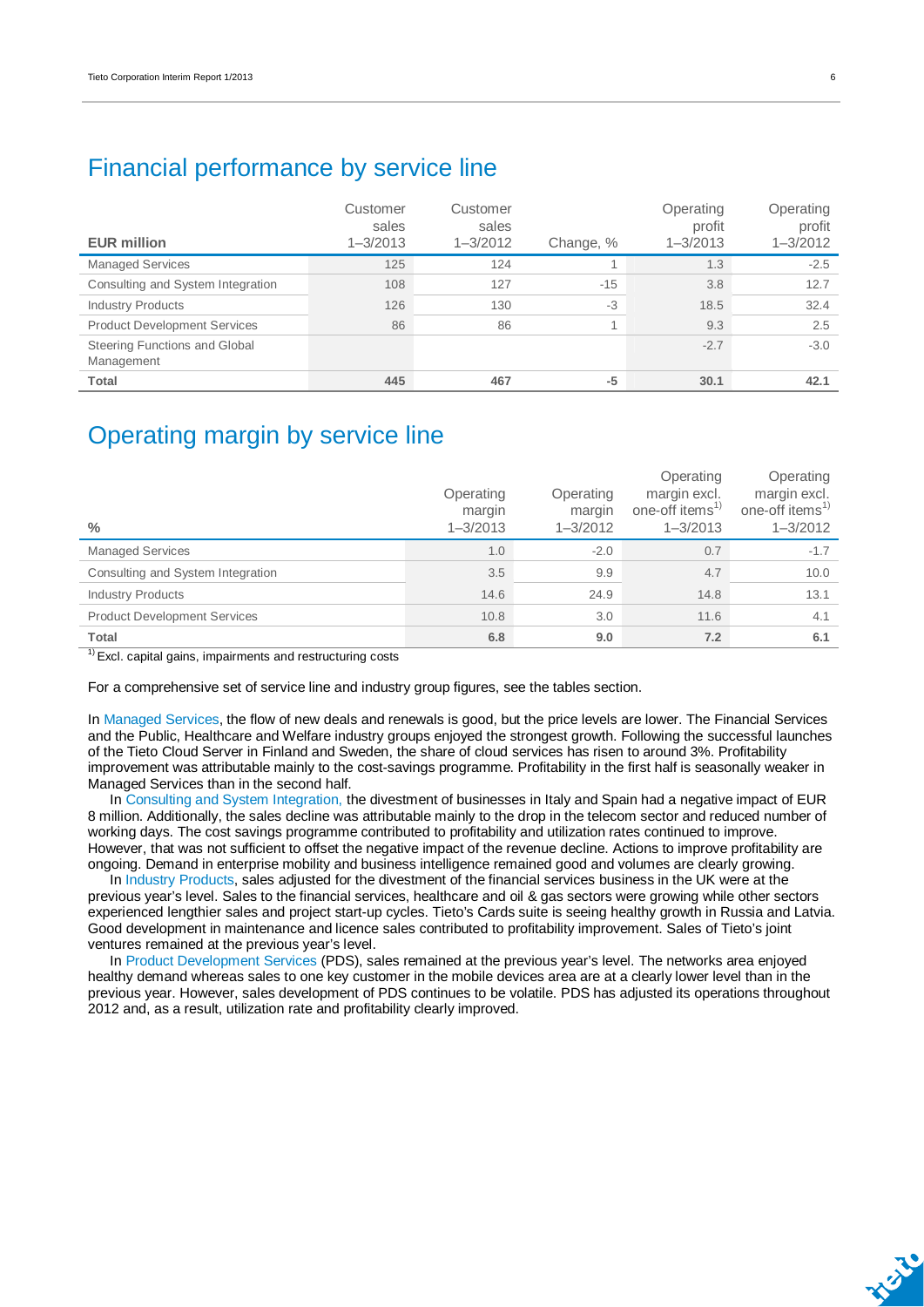### Financial performance by service line

| <b>EUR million</b>                          | Customer<br>sales<br>$1 - 3/2013$ | Customer<br>sales<br>$1 - 3/2012$ | Change, % | Operating<br>profit<br>$1 - 3/2013$ | Operating<br>profit<br>$1 - 3/2012$ |
|---------------------------------------------|-----------------------------------|-----------------------------------|-----------|-------------------------------------|-------------------------------------|
| <b>Managed Services</b>                     | 125                               | 124                               |           | 1.3                                 | $-2.5$                              |
| Consulting and System Integration           | 108                               | 127                               | $-15$     | 3.8                                 | 12.7                                |
| <b>Industry Products</b>                    | 126                               | 130                               | $-3$      | 18.5                                | 32.4                                |
| <b>Product Development Services</b>         | 86                                | 86                                |           | 9.3                                 | 2.5                                 |
| Steering Functions and Global<br>Management |                                   |                                   |           | $-2.7$                              | $-3.0$                              |
| Total                                       | 445                               | 467                               | $-5$      | 30.1                                | 42.1                                |

### Operating margin by service line

| $\frac{0}{0}$                       | Operating<br>margin<br>$1 - 3/2013$ | Operating<br>margin<br>$1 - 3/2012$ | Operating<br>margin excl.<br>one-off items <sup>1)</sup><br>$1 - 3/2013$ | Operating<br>margin excl.<br>one-off items <sup>1)</sup><br>$1 - 3/2012$ |
|-------------------------------------|-------------------------------------|-------------------------------------|--------------------------------------------------------------------------|--------------------------------------------------------------------------|
| <b>Managed Services</b>             | 1.0                                 | $-2.0$                              | 0.7                                                                      | $-1.7$                                                                   |
| Consulting and System Integration   | 3.5                                 | 9.9                                 | 4.7                                                                      | 10.0                                                                     |
| <b>Industry Products</b>            | 14.6                                | 24.9                                | 14.8                                                                     | 13.1                                                                     |
| <b>Product Development Services</b> | 10.8                                | 3.0                                 | 11.6                                                                     | 4.1                                                                      |
| <b>Total</b>                        | 6.8                                 | 9.0                                 | 7.2                                                                      | 6.1                                                                      |

 $<sup>1</sup>$  Excl. capital gains, impairments and restructuring costs</sup>

For a comprehensive set of service line and industry group figures, see the tables section.

In Managed Services, the flow of new deals and renewals is good, but the price levels are lower. The Financial Services and the Public, Healthcare and Welfare industry groups enjoyed the strongest growth. Following the successful launches of the Tieto Cloud Server in Finland and Sweden, the share of cloud services has risen to around 3%. Profitability improvement was attributable mainly to the cost-savings programme. Profitability in the first half is seasonally weaker in Managed Services than in the second half.

In Consulting and System Integration, the divestment of businesses in Italy and Spain had a negative impact of EUR 8 million. Additionally, the sales decline was attributable mainly to the drop in the telecom sector and reduced number of working days. The cost savings programme contributed to profitability and utilization rates continued to improve. However, that was not sufficient to offset the negative impact of the revenue decline. Actions to improve profitability are ongoing. Demand in enterprise mobility and business intelligence remained good and volumes are clearly growing.

In Industry Products, sales adjusted for the divestment of the financial services business in the UK were at the previous year's level. Sales to the financial services, healthcare and oil & gas sectors were growing while other sectors experienced lengthier sales and project start-up cycles. Tieto's Cards suite is seeing healthy growth in Russia and Latvia. Good development in maintenance and licence sales contributed to profitability improvement. Sales of Tieto's joint ventures remained at the previous year's level.

In Product Development Services (PDS), sales remained at the previous year's level. The networks area enjoyed healthy demand whereas sales to one key customer in the mobile devices area are at a clearly lower level than in the previous year. However, sales development of PDS continues to be volatile. PDS has adjusted its operations throughout 2012 and, as a result, utilization rate and profitability clearly improved.

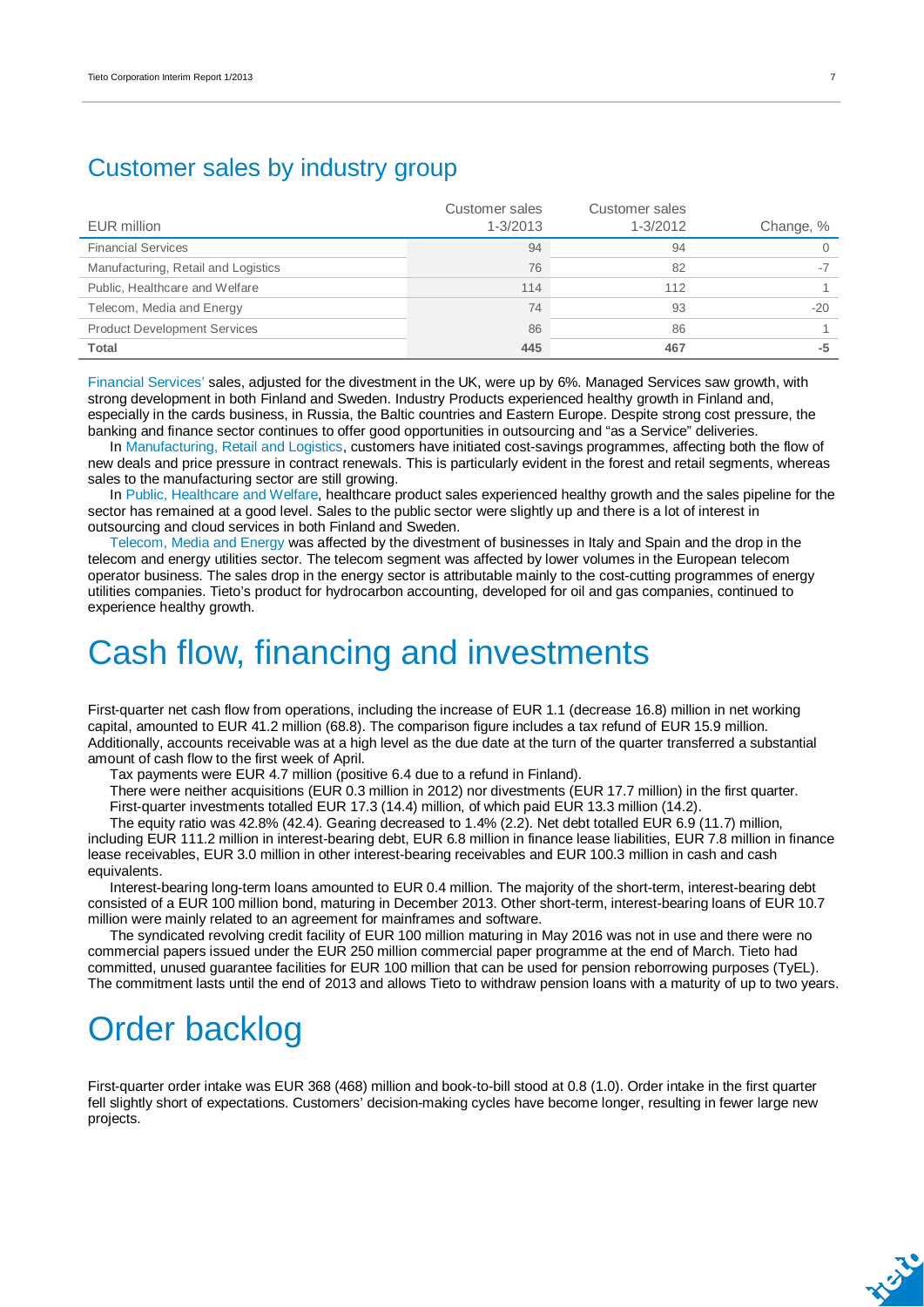### Customer sales by industry group

| EUR million                         | Customer sales<br>$1 - 3/2013$ | Customer sales<br>1-3/2012 | Change, % |
|-------------------------------------|--------------------------------|----------------------------|-----------|
| <b>Financial Services</b>           | 94                             | 94                         |           |
| Manufacturing, Retail and Logistics | 76                             | 82                         |           |
| Public, Healthcare and Welfare      | 114                            | 112                        |           |
| Telecom, Media and Energy           | 74                             | 93                         | $-20$     |
| <b>Product Development Services</b> | 86                             | 86                         |           |
| Total                               | 445                            | 467                        | -5        |

Financial Services' sales, adjusted for the divestment in the UK, were up by 6%. Managed Services saw growth, with strong development in both Finland and Sweden. Industry Products experienced healthy growth in Finland and, especially in the cards business, in Russia, the Baltic countries and Eastern Europe. Despite strong cost pressure, the banking and finance sector continues to offer good opportunities in outsourcing and "as a Service" deliveries.

In Manufacturing, Retail and Logistics, customers have initiated cost-savings programmes, affecting both the flow of new deals and price pressure in contract renewals. This is particularly evident in the forest and retail segments, whereas sales to the manufacturing sector are still growing.

In Public, Healthcare and Welfare, healthcare product sales experienced healthy growth and the sales pipeline for the sector has remained at a good level. Sales to the public sector were slightly up and there is a lot of interest in outsourcing and cloud services in both Finland and Sweden.

Telecom, Media and Energy was affected by the divestment of businesses in Italy and Spain and the drop in the telecom and energy utilities sector. The telecom segment was affected by lower volumes in the European telecom operator business. The sales drop in the energy sector is attributable mainly to the cost-cutting programmes of energy utilities companies. Tieto's product for hydrocarbon accounting, developed for oil and gas companies, continued to experience healthy growth.

## Cash flow, financing and investments

First-quarter net cash flow from operations, including the increase of EUR 1.1 (decrease 16.8) million in net working capital, amounted to EUR 41.2 million (68.8). The comparison figure includes a tax refund of EUR 15.9 million. Additionally, accounts receivable was at a high level as the due date at the turn of the quarter transferred a substantial amount of cash flow to the first week of April.

Tax payments were EUR 4.7 million (positive 6.4 due to a refund in Finland).

There were neither acquisitions (EUR 0.3 million in 2012) nor divestments (EUR 17.7 million) in the first quarter. First-quarter investments totalled EUR 17.3 (14.4) million, of which paid EUR 13.3 million (14.2).

The equity ratio was 42.8% (42.4). Gearing decreased to 1.4% (2.2). Net debt totalled EUR 6.9 (11.7) million, including EUR 111.2 million in interest-bearing debt, EUR 6.8 million in finance lease liabilities, EUR 7.8 million in finance lease receivables, EUR 3.0 million in other interest-bearing receivables and EUR 100.3 million in cash and cash equivalents.

Interest-bearing long-term loans amounted to EUR 0.4 million. The majority of the short-term, interest-bearing debt consisted of a EUR 100 million bond, maturing in December 2013. Other short-term, interest-bearing loans of EUR 10.7 million were mainly related to an agreement for mainframes and software.

The syndicated revolving credit facility of EUR 100 million maturing in May 2016 was not in use and there were no commercial papers issued under the EUR 250 million commercial paper programme at the end of March. Tieto had committed, unused guarantee facilities for EUR 100 million that can be used for pension reborrowing purposes (TyEL). The commitment lasts until the end of 2013 and allows Tieto to withdraw pension loans with a maturity of up to two years.

## Order backlog

First-quarter order intake was EUR 368 (468) million and book-to-bill stood at 0.8 (1.0). Order intake in the first quarter fell slightly short of expectations. Customers' decision-making cycles have become longer, resulting in fewer large new projects.

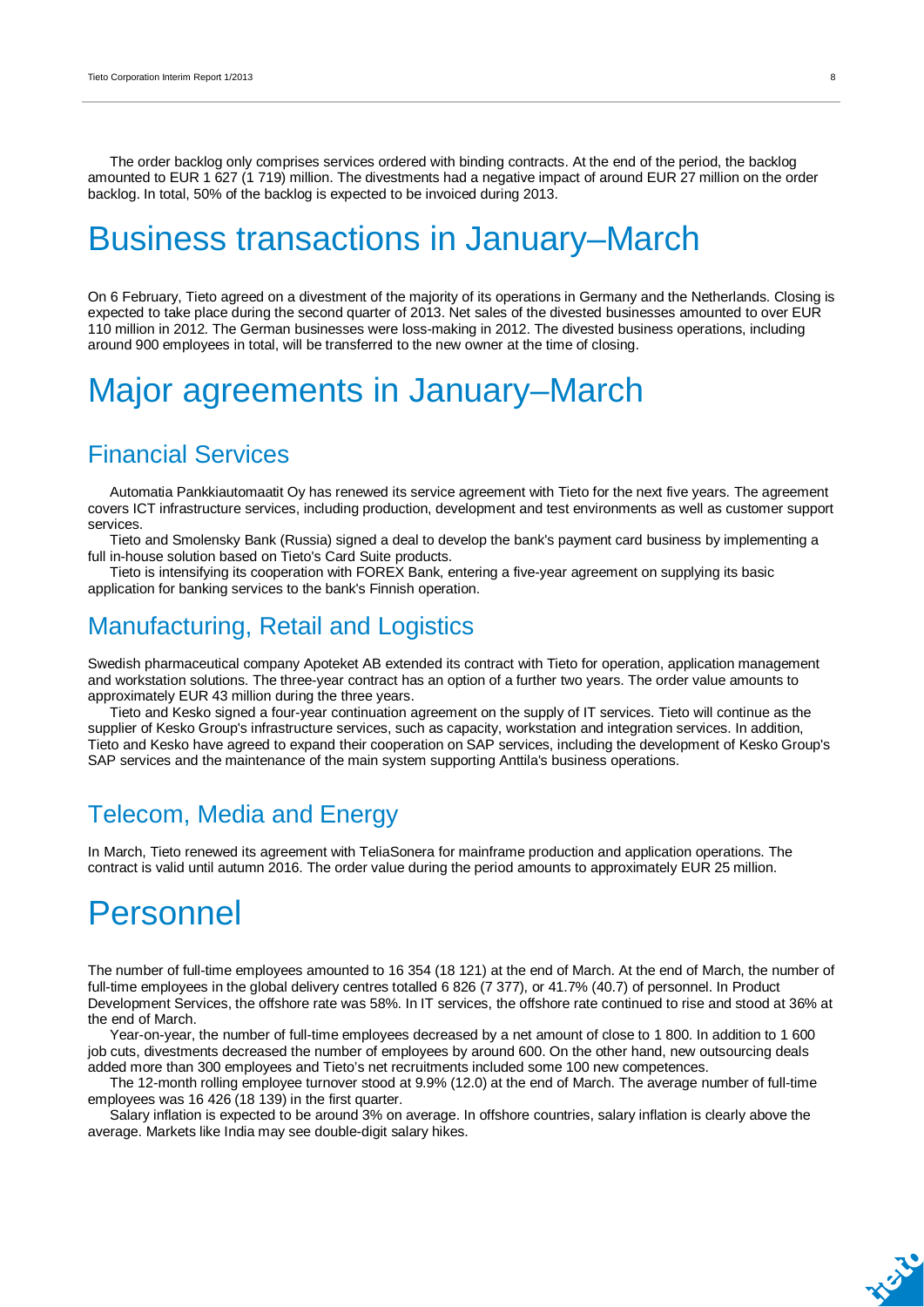The order backlog only comprises services ordered with binding contracts. At the end of the period, the backlog amounted to EUR 1 627 (1 719) million. The divestments had a negative impact of around EUR 27 million on the order backlog. In total, 50% of the backlog is expected to be invoiced during 2013.

### Business transactions in January–March

On 6 February, Tieto agreed on a divestment of the majority of its operations in Germany and the Netherlands. Closing is expected to take place during the second quarter of 2013. Net sales of the divested businesses amounted to over EUR 110 million in 2012. The German businesses were loss-making in 2012. The divested business operations, including around 900 employees in total, will be transferred to the new owner at the time of closing.

## Major agreements in January–March

### Financial Services

Automatia Pankkiautomaatit Oy has renewed its service agreement with Tieto for the next five years. The agreement covers ICT infrastructure services, including production, development and test environments as well as customer support services.

Tieto and Smolensky Bank (Russia) signed a deal to develop the bank's payment card business by implementing a full in-house solution based on Tieto's Card Suite products.

Tieto is intensifying its cooperation with FOREX Bank, entering a five-year agreement on supplying its basic application for banking services to the bank's Finnish operation.

### Manufacturing, Retail and Logistics

Swedish pharmaceutical company Apoteket AB extended its contract with Tieto for operation, application management and workstation solutions. The three-year contract has an option of a further two years. The order value amounts to approximately EUR 43 million during the three years.

Tieto and Kesko signed a four-year continuation agreement on the supply of IT services. Tieto will continue as the supplier of Kesko Group's infrastructure services, such as capacity, workstation and integration services. In addition, Tieto and Kesko have agreed to expand their cooperation on SAP services, including the development of Kesko Group's SAP services and the maintenance of the main system supporting Anttila's business operations.

### Telecom, Media and Energy

In March, Tieto renewed its agreement with TeliaSonera for mainframe production and application operations. The contract is valid until autumn 2016. The order value during the period amounts to approximately EUR 25 million.

### Personnel

The number of full-time employees amounted to 16 354 (18 121) at the end of March. At the end of March, the number of full-time employees in the global delivery centres totalled 6 826 (7 377), or 41.7% (40.7) of personnel. In Product Development Services, the offshore rate was 58%. In IT services, the offshore rate continued to rise and stood at 36% at the end of March.

Year-on-year, the number of full-time employees decreased by a net amount of close to 1 800. In addition to 1 600 job cuts, divestments decreased the number of employees by around 600. On the other hand, new outsourcing deals added more than 300 employees and Tieto's net recruitments included some 100 new competences.

The 12-month rolling employee turnover stood at 9.9% (12.0) at the end of March. The average number of full-time employees was 16 426 (18 139) in the first quarter.

Salary inflation is expected to be around 3% on average. In offshore countries, salary inflation is clearly above the average. Markets like India may see double-digit salary hikes.

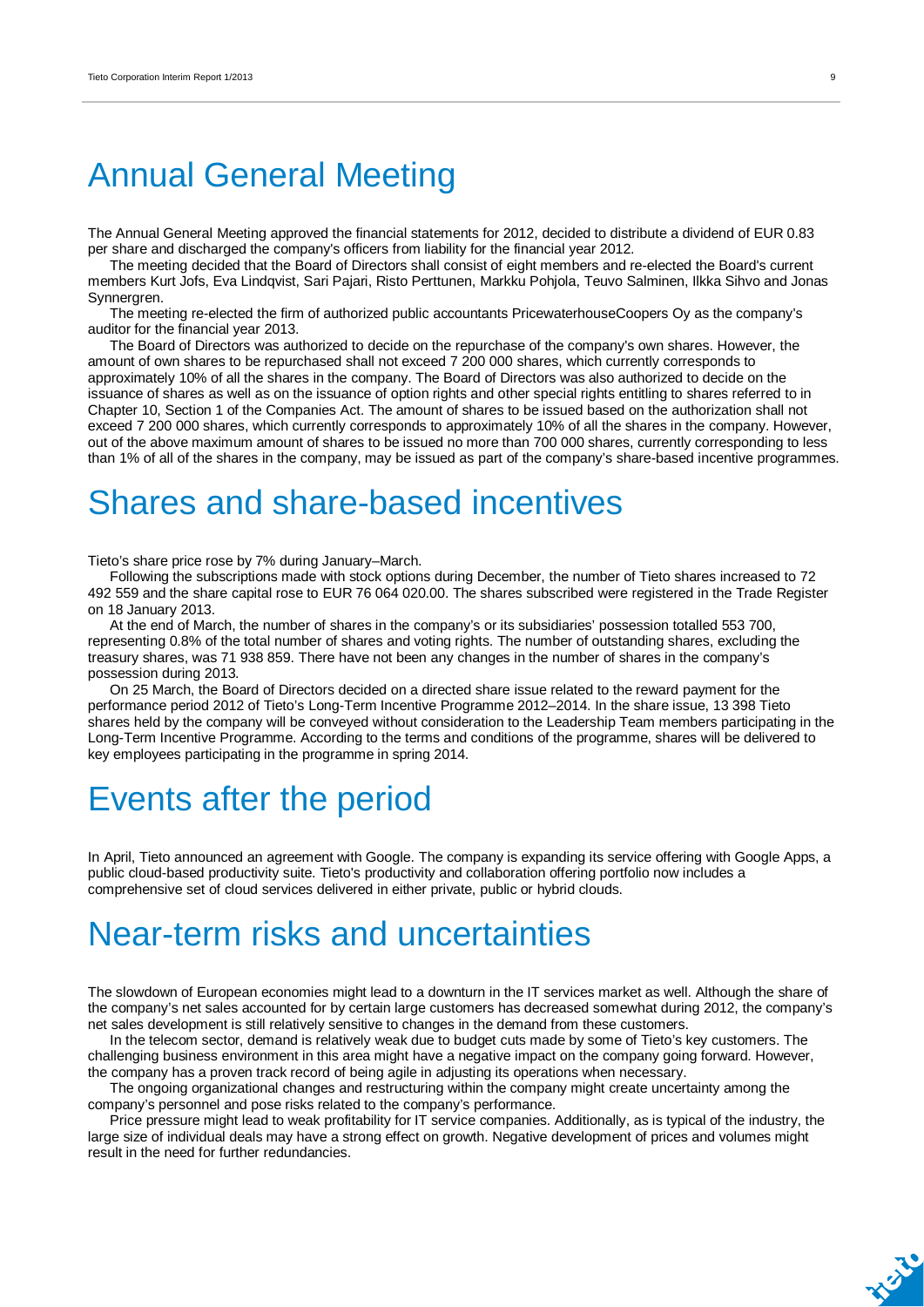## Annual General Meeting

The Annual General Meeting approved the financial statements for 2012, decided to distribute a dividend of EUR 0.83 per share and discharged the company's officers from liability for the financial year 2012.

The meeting decided that the Board of Directors shall consist of eight members and re-elected the Board's current members Kurt Jofs, Eva Lindqvist, Sari Pajari, Risto Perttunen, Markku Pohjola, Teuvo Salminen, Ilkka Sihvo and Jonas Synnergren.

The meeting re-elected the firm of authorized public accountants PricewaterhouseCoopers Oy as the company's auditor for the financial year 2013.

The Board of Directors was authorized to decide on the repurchase of the company's own shares. However, the amount of own shares to be repurchased shall not exceed 7 200 000 shares, which currently corresponds to approximately 10% of all the shares in the company. The Board of Directors was also authorized to decide on the issuance of shares as well as on the issuance of option rights and other special rights entitling to shares referred to in Chapter 10, Section 1 of the Companies Act. The amount of shares to be issued based on the authorization shall not exceed 7 200 000 shares, which currently corresponds to approximately 10% of all the shares in the company. However, out of the above maximum amount of shares to be issued no more than 700 000 shares, currently corresponding to less than 1% of all of the shares in the company, may be issued as part of the company's share-based incentive programmes.

### Shares and share-based incentives

Tieto's share price rose by 7% during January–March.

Following the subscriptions made with stock options during December, the number of Tieto shares increased to 72 492 559 and the share capital rose to EUR 76 064 020.00. The shares subscribed were registered in the Trade Register on 18 January 2013.

At the end of March, the number of shares in the company's or its subsidiaries' possession totalled 553 700, representing 0.8% of the total number of shares and voting rights. The number of outstanding shares, excluding the treasury shares, was 71 938 859. There have not been any changes in the number of shares in the company's possession during 2013.

On 25 March, the Board of Directors decided on a directed share issue related to the reward payment for the performance period 2012 of Tieto's Long-Term Incentive Programme 2012–2014. In the share issue, 13 398 Tieto shares held by the company will be conveyed without consideration to the Leadership Team members participating in the Long-Term Incentive Programme. According to the terms and conditions of the programme, shares will be delivered to key employees participating in the programme in spring 2014.

## Events after the period

In April, Tieto announced an agreement with Google. The company is expanding its service offering with Google Apps, a public cloud-based productivity suite. Tieto's productivity and collaboration offering portfolio now includes a comprehensive set of cloud services delivered in either private, public or hybrid clouds.

### Near-term risks and uncertainties

The slowdown of European economies might lead to a downturn in the IT services market as well. Although the share of the company's net sales accounted for by certain large customers has decreased somewhat during 2012, the company's net sales development is still relatively sensitive to changes in the demand from these customers.

In the telecom sector, demand is relatively weak due to budget cuts made by some of Tieto's key customers. The challenging business environment in this area might have a negative impact on the company going forward. However, the company has a proven track record of being agile in adjusting its operations when necessary.

The ongoing organizational changes and restructuring within the company might create uncertainty among the company's personnel and pose risks related to the company's performance.

Price pressure might lead to weak profitability for IT service companies. Additionally, as is typical of the industry, the large size of individual deals may have a strong effect on growth. Negative development of prices and volumes might result in the need for further redundancies.

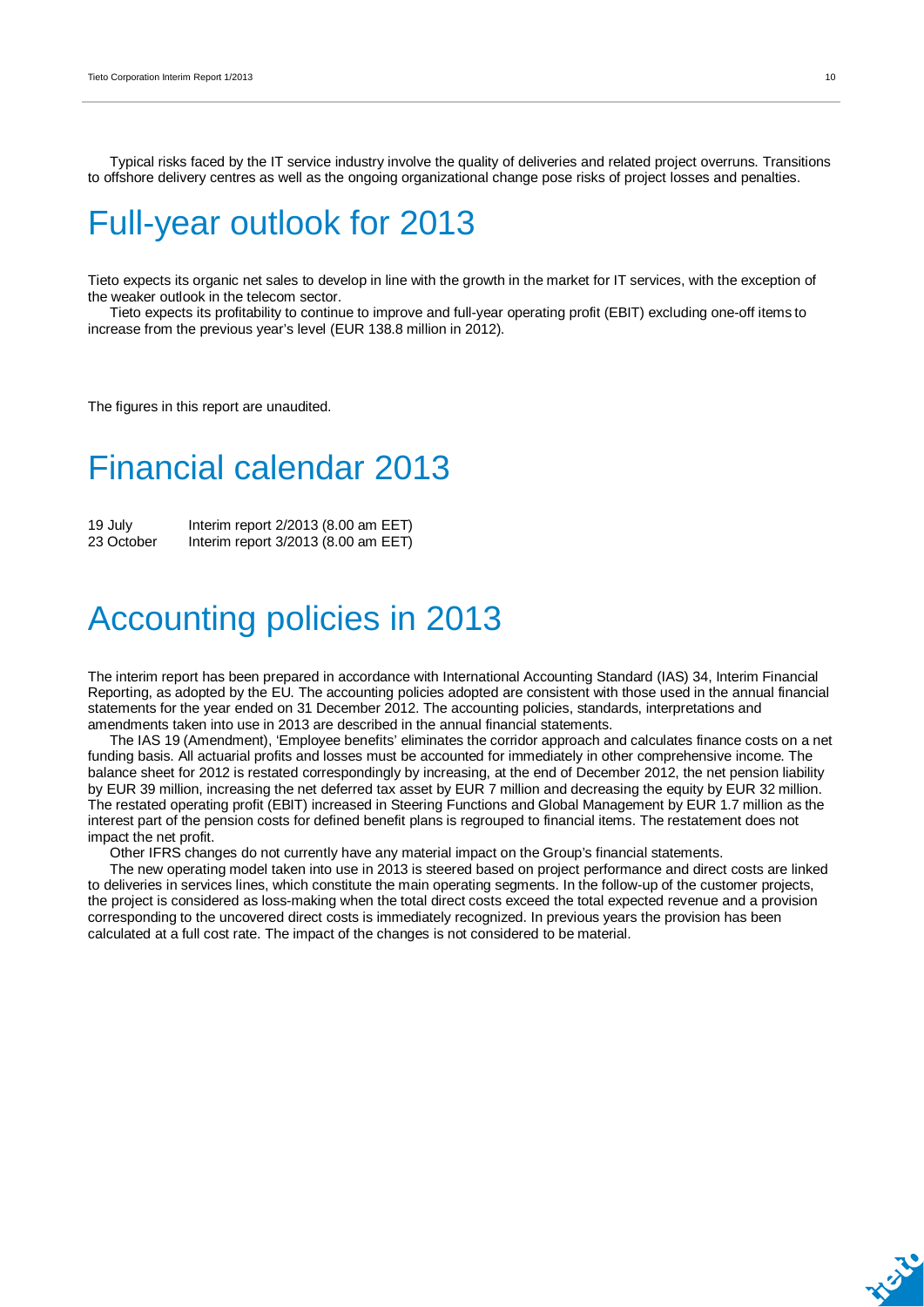Typical risks faced by the IT service industry involve the quality of deliveries and related project overruns. Transitions to offshore delivery centres as well as the ongoing organizational change pose risks of project losses and penalties.

## Full-year outlook for 2013

Tieto expects its organic net sales to develop in line with the growth in the market for IT services, with the exception of the weaker outlook in the telecom sector.

Tieto expects its profitability to continue to improve and full-year operating profit (EBIT) excluding one-off items to increase from the previous year's level (EUR 138.8 million in 2012).

The figures in this report are unaudited.

## Financial calendar 2013

19 July Interim report 2/2013 (8.00 am EET) 23 October Interim report 3/2013 (8.00 am EET)

### Accounting policies in 2013

The interim report has been prepared in accordance with International Accounting Standard (IAS) 34, Interim Financial Reporting, as adopted by the EU. The accounting policies adopted are consistent with those used in the annual financial statements for the year ended on 31 December 2012. The accounting policies, standards, interpretations and amendments taken into use in 2013 are described in the annual financial statements.

The IAS 19 (Amendment), 'Employee benefits' eliminates the corridor approach and calculates finance costs on a net funding basis. All actuarial profits and losses must be accounted for immediately in other comprehensive income. The balance sheet for 2012 is restated correspondingly by increasing, at the end of December 2012, the net pension liability by EUR 39 million, increasing the net deferred tax asset by EUR 7 million and decreasing the equity by EUR 32 million. The restated operating profit (EBIT) increased in Steering Functions and Global Management by EUR 1.7 million as the interest part of the pension costs for defined benefit plans is regrouped to financial items. The restatement does not impact the net profit.

Other IFRS changes do not currently have any material impact on the Group's financial statements.

The new operating model taken into use in 2013 is steered based on project performance and direct costs are linked to deliveries in services lines, which constitute the main operating segments. In the follow-up of the customer projects, the project is considered as loss-making when the total direct costs exceed the total expected revenue and a provision corresponding to the uncovered direct costs is immediately recognized. In previous years the provision has been calculated at a full cost rate. The impact of the changes is not considered to be material.

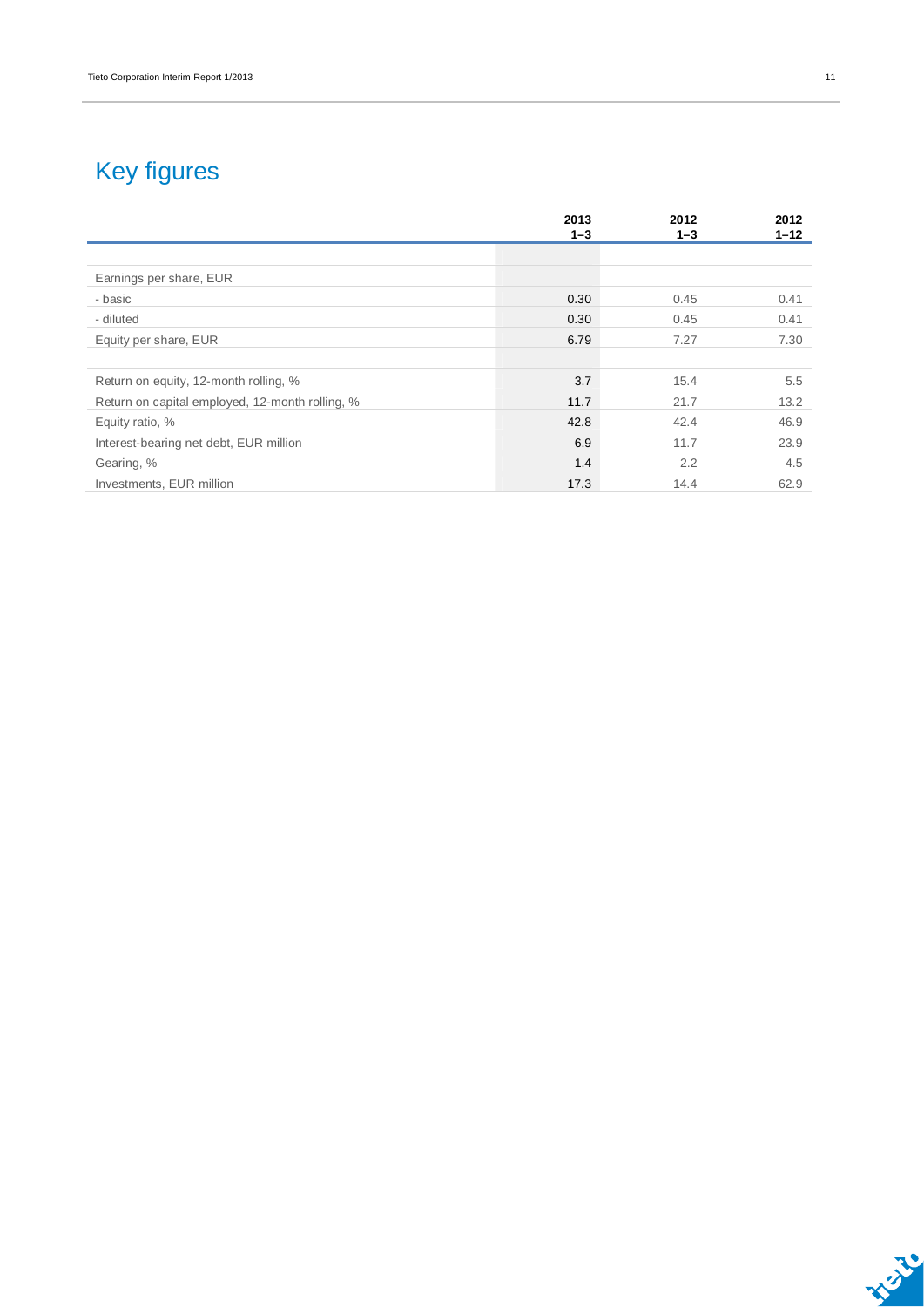### Key figures

|                                                 | 2013<br>$1 - 3$ | 2012<br>$1 - 3$ | 2012<br>$1 - 12$ |
|-------------------------------------------------|-----------------|-----------------|------------------|
|                                                 |                 |                 |                  |
| Earnings per share, EUR                         |                 |                 |                  |
| - basic                                         | 0.30            | 0.45            | 0.41             |
| - diluted                                       | 0.30            | 0.45            | 0.41             |
| Equity per share, EUR                           | 6.79            | 7.27            | 7.30             |
|                                                 |                 |                 |                  |
| Return on equity, 12-month rolling, %           | 3.7             | 15.4            | 5.5              |
| Return on capital employed, 12-month rolling, % | 11.7            | 21.7            | 13.2             |
| Equity ratio, %                                 | 42.8            | 42.4            | 46.9             |
| Interest-bearing net debt, EUR million          | 6.9             | 11.7            | 23.9             |
| Gearing, %                                      | 1.4             | 2.2             | 4.5              |
| Investments, EUR million                        | 17.3            | 14.4            | 62.9             |

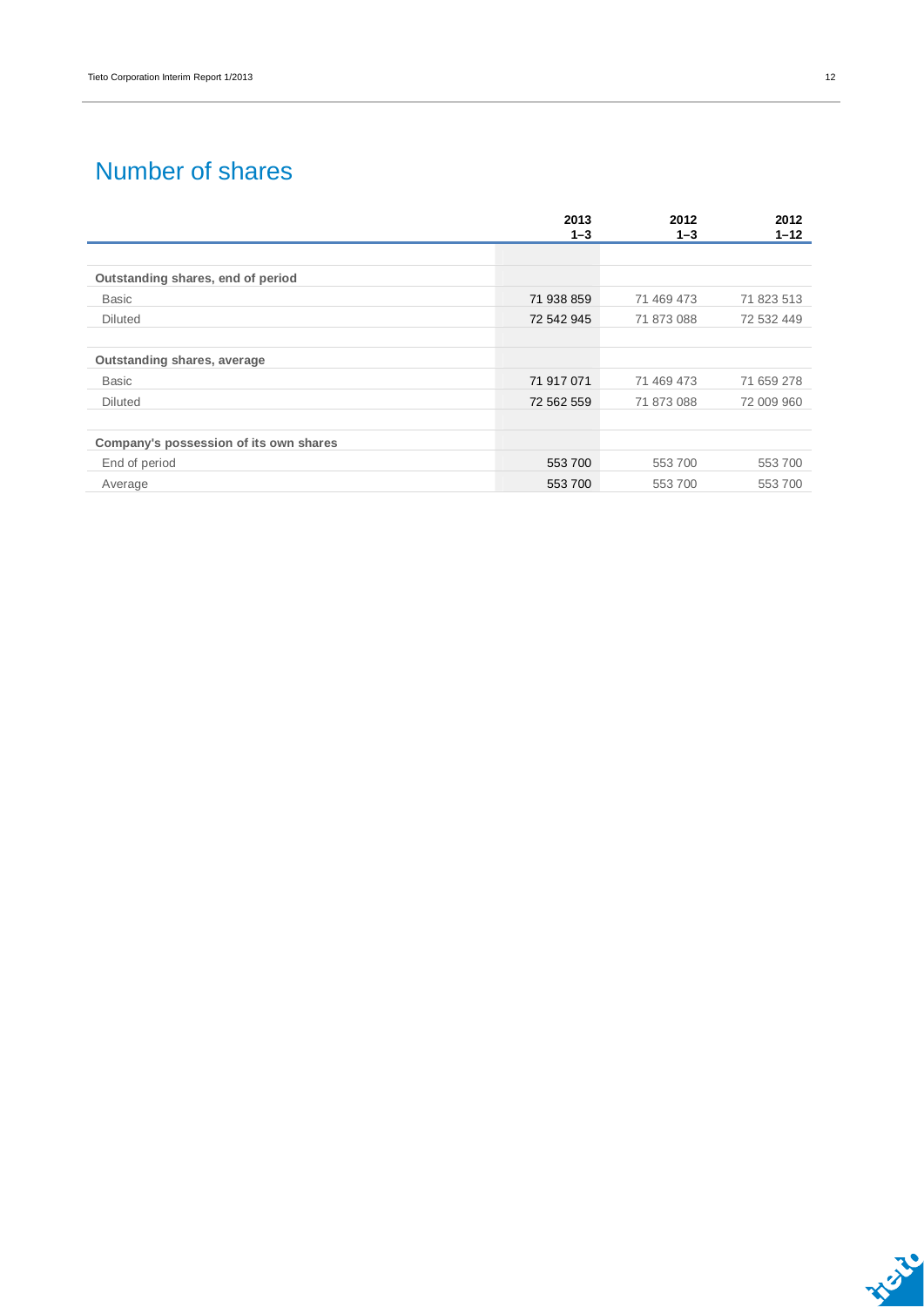### Number of shares

|                                        | 2013<br>$1 - 3$ | 2012<br>$1 - 3$ | 2012<br>$1 - 12$ |
|----------------------------------------|-----------------|-----------------|------------------|
|                                        |                 |                 |                  |
| Outstanding shares, end of period      |                 |                 |                  |
| <b>Basic</b>                           | 71 938 859      | 71 469 473      | 71 823 513       |
| <b>Diluted</b>                         | 72 542 945      | 71 873 088      | 72 532 449       |
|                                        |                 |                 |                  |
| <b>Outstanding shares, average</b>     |                 |                 |                  |
| <b>Basic</b>                           | 71 917 071      | 71 469 473      | 71 659 278       |
| <b>Diluted</b>                         | 72 562 559      | 71 873 088      | 72 009 960       |
|                                        |                 |                 |                  |
| Company's possession of its own shares |                 |                 |                  |
| End of period                          | 553 700         | 553 700         | 553700           |
| Average                                | 553 700         | 553 700         | 553700           |

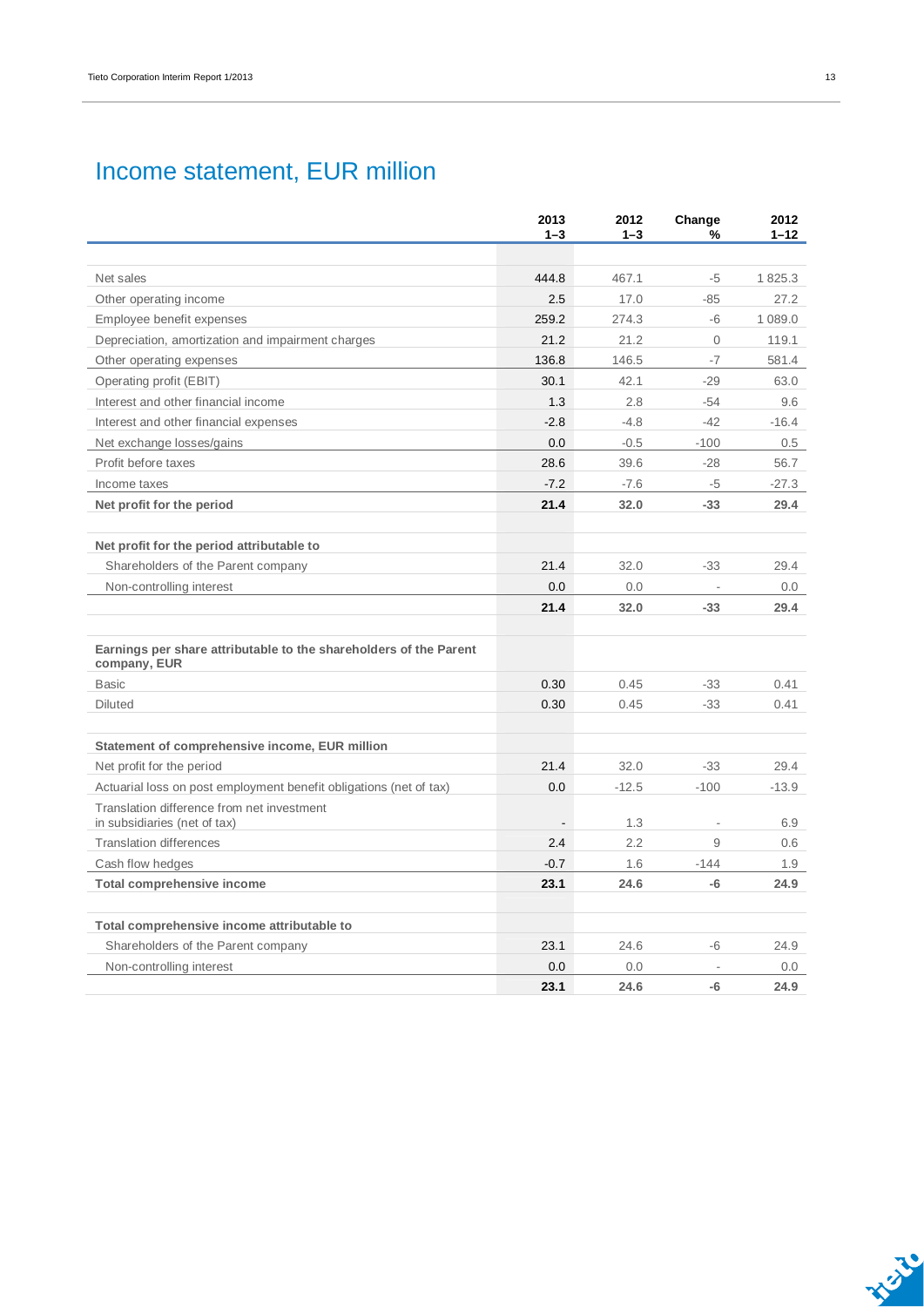### Income statement, EUR million

|                                                                                   | 2013<br>$1 - 3$ | 2012<br>$1 - 3$ | Change<br>%              | 2012<br>$1 - 12$ |
|-----------------------------------------------------------------------------------|-----------------|-----------------|--------------------------|------------------|
|                                                                                   |                 |                 |                          |                  |
| Net sales                                                                         | 444.8           | 467.1           | -5                       | 1825.3           |
| Other operating income                                                            | 2.5             | 17.0            | $-85$                    | 27.2             |
| Employee benefit expenses                                                         | 259.2           | 274.3           | -6                       | 1 089.0          |
| Depreciation, amortization and impairment charges                                 | 21.2            | 21.2            | $\mathbf{O}$             | 119.1            |
| Other operating expenses                                                          | 136.8           | 146.5           | $-7$                     | 581.4            |
| Operating profit (EBIT)                                                           | 30.1            | 42.1            | $-29$                    | 63.0             |
| Interest and other financial income                                               | 1.3             | 2.8             | $-54$                    | 9.6              |
| Interest and other financial expenses                                             | $-2.8$          | $-4.8$          | $-42$                    | $-16.4$          |
| Net exchange losses/gains                                                         | 0.0             | $-0.5$          | $-100$                   | 0.5              |
| Profit before taxes                                                               | 28.6            | 39.6            | $-28$                    | 56.7             |
| Income taxes                                                                      | $-7.2$          | $-7.6$          | -5                       | $-27.3$          |
| Net profit for the period                                                         | 21.4            | 32.0            | $-33$                    | 29.4             |
|                                                                                   |                 |                 |                          |                  |
| Net profit for the period attributable to                                         |                 |                 |                          |                  |
| Shareholders of the Parent company                                                | 21.4            | 32.0            | $-33$                    | 29.4             |
| Non-controlling interest                                                          | 0.0             | 0.0             |                          | 0.0              |
|                                                                                   | 21.4            | 32.0            | $-33$                    | 29.4             |
|                                                                                   |                 |                 |                          |                  |
| Earnings per share attributable to the shareholders of the Parent<br>company, EUR |                 |                 |                          |                  |
| <b>Basic</b>                                                                      | 0.30            | 0.45            | $-33$                    | 0.41             |
| <b>Diluted</b>                                                                    | 0.30            | 0.45            | $-33$                    | 0.41             |
|                                                                                   |                 |                 |                          |                  |
| Statement of comprehensive income, EUR million                                    |                 |                 |                          |                  |
| Net profit for the period                                                         | 21.4            | 32.0            | $-33$                    | 29.4             |
| Actuarial loss on post employment benefit obligations (net of tax)                | 0.0             | $-12.5$         | $-100$                   | $-13.9$          |
| Translation difference from net investment<br>in subsidiaries (net of tax)        |                 | 1.3             | $\overline{\phantom{a}}$ | 6.9              |
| <b>Translation differences</b>                                                    | 2.4             | 2.2             | 9                        | 0.6              |
| Cash flow hedges                                                                  | $-0.7$          | 1.6             | $-144$                   | 1.9              |
| <b>Total comprehensive income</b>                                                 | 23.1            | 24.6            | $-6$                     | 24.9             |
|                                                                                   |                 |                 |                          |                  |
| Total comprehensive income attributable to                                        |                 |                 |                          |                  |
| Shareholders of the Parent company                                                | 23.1            | 24.6            | -6                       | 24.9             |
| Non-controlling interest                                                          | 0.0             | 0.0             |                          | 0.0              |
|                                                                                   | 23.1            | 24.6            | $-6$                     | 24.9             |

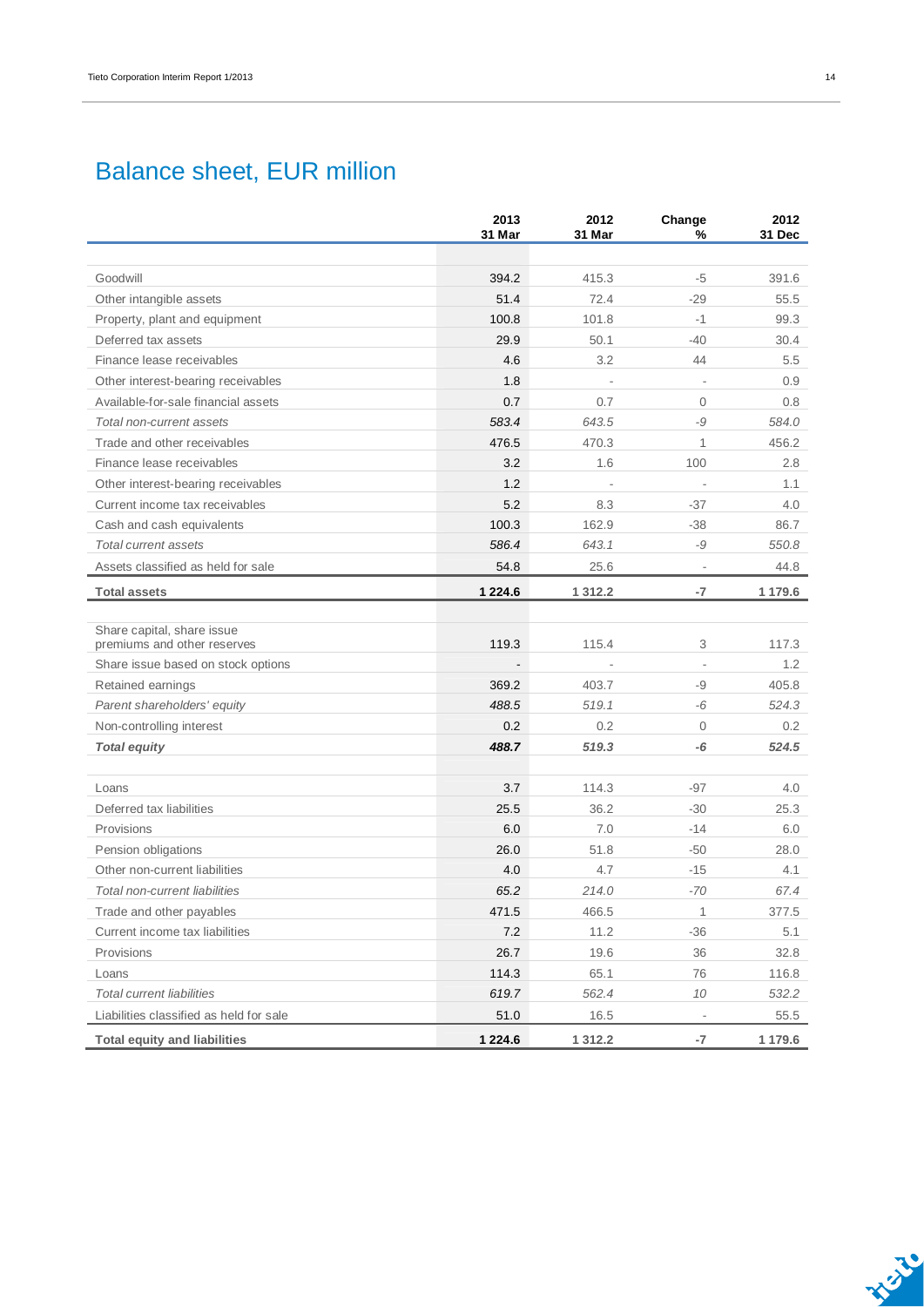### Balance sheet, EUR million

|                                                           | 2013<br>31 Mar | 2012<br>31 Mar | Change<br>%              | 2012<br>31 Dec |
|-----------------------------------------------------------|----------------|----------------|--------------------------|----------------|
|                                                           |                |                |                          |                |
| Goodwill                                                  | 394.2          | 415.3          | $-5$                     | 391.6          |
| Other intangible assets                                   | 51.4           | 72.4           | $-29$                    | 55.5           |
| Property, plant and equipment                             | 100.8          | 101.8          | $-1$                     | 99.3           |
| Deferred tax assets                                       | 29.9           | 50.1           | $-40$                    | 30.4           |
| Finance lease receivables                                 | 4.6            | 3.2            | 44                       | 5.5            |
| Other interest-bearing receivables                        | 1.8            |                |                          | 0.9            |
| Available-for-sale financial assets                       | 0.7            | 0.7            | $\overline{0}$           | 0.8            |
| Total non-current assets                                  | 583.4          | 643.5          | -9                       | 584.0          |
| Trade and other receivables                               | 476.5          | 470.3          | $\mathbf{1}$             | 456.2          |
| Finance lease receivables                                 | 3.2            | 1.6            | 100                      | 2.8            |
| Other interest-bearing receivables                        | 1.2            |                | $\overline{\phantom{a}}$ | 1.1            |
| Current income tax receivables                            | 5.2            | 8.3            | $-37$                    | 4.0            |
| Cash and cash equivalents                                 | 100.3          | 162.9          | $-38$                    | 86.7           |
| Total current assets                                      | 586.4          | 643.1          | -9                       | 550.8          |
| Assets classified as held for sale                        | 54.8           | 25.6           | $\overline{\phantom{a}}$ | 44.8           |
| <b>Total assets</b>                                       | 1 2 2 4 . 6    | 1 3 1 2 . 2    | $-7$                     | 1 179.6        |
|                                                           |                |                |                          |                |
| Share capital, share issue<br>premiums and other reserves | 119.3          | 115.4          | 3                        | 117.3          |
| Share issue based on stock options                        |                |                |                          | 1.2            |
| Retained earnings                                         | 369.2          | 403.7          | -9                       | 405.8          |
| Parent shareholders' equity                               | 488.5          | 519.1          | -6                       | 524.3          |
| Non-controlling interest                                  | 0.2            | 0.2            | $\mathbf{0}$             | 0.2            |
| <b>Total equity</b>                                       | 488.7          | 519.3          | -6                       | 524.5          |
|                                                           |                |                |                          |                |
| Loans                                                     | 3.7            | 114.3          | $-97$                    | 4.0            |
| Deferred tax liabilities                                  | 25.5           | 36.2           | $-30$                    | 25.3           |
| Provisions                                                | 6.0            | 7.0            | $-14$                    | 6.0            |
| Pension obligations                                       | 26.0           | 51.8           | $-50$                    | 28.0           |
| Other non-current liabilities                             | 4.0            | 4.7            | $-15$                    | 4.1            |
| <b>Total non-current liabilities</b>                      | 65.2           | 214.0          | $-70$                    | 67.4           |
| Trade and other payables                                  | 471.5          | 466.5          | 1                        | 377.5          |
| Current income tax liabilities                            | 7.2            | 11.2           | $-36$                    | 5.1            |
| Provisions                                                | 26.7           | 19.6           | 36                       | 32.8           |
| Loans                                                     | 114.3          | 65.1           | 76                       | 116.8          |
| <b>Total current liabilities</b>                          | 619.7          | 562.4          | 10                       | 532.2          |
| Liabilities classified as held for sale                   | 51.0           | 16.5           | $\overline{\phantom{a}}$ | 55.5           |
| <b>Total equity and liabilities</b>                       | 1 2 2 4 . 6    | 1 3 1 2 . 2    | $-7$                     | 1 179.6        |

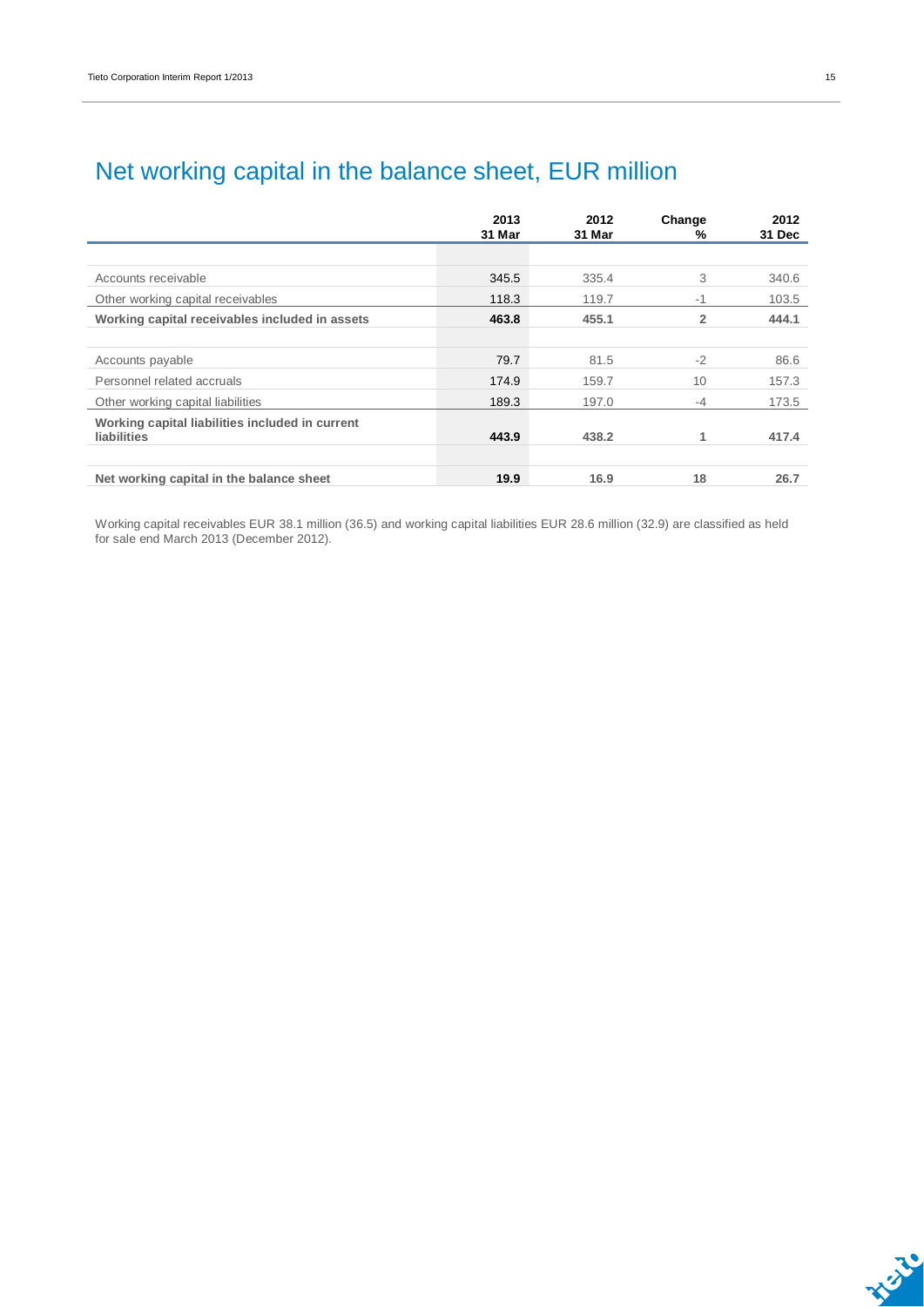|                                                                       | 2013<br>31 Mar | 2012<br>31 Mar | Change<br>%    | 2012<br>31 Dec |
|-----------------------------------------------------------------------|----------------|----------------|----------------|----------------|
|                                                                       |                |                |                |                |
| Accounts receivable                                                   | 345.5          | 335.4          | 3              | 340.6          |
| Other working capital receivables                                     | 118.3          | 119.7          | $-1$           | 103.5          |
| Working capital receivables included in assets                        | 463.8          | 455.1          | $\overline{2}$ | 444.1          |
|                                                                       |                |                |                |                |
| Accounts payable                                                      | 79.7           | 81.5           | $-2$           | 86.6           |
| Personnel related accruals                                            | 174.9          | 159.7          | 10             | 157.3          |
| Other working capital liabilities                                     | 189.3          | 197.0          | $-4$           | 173.5          |
| Working capital liabilities included in current<br><b>liabilities</b> | 443.9          | 438.2          | 1              | 417.4          |
| Net working capital in the balance sheet                              | 19.9           | 16.9           | 18             | 26.7           |

### Net working capital in the balance sheet, EUR million

Working capital receivables EUR 38.1 million (36.5) and working capital liabilities EUR 28.6 million (32.9) are classified as held for sale end March 2013 (December 2012).

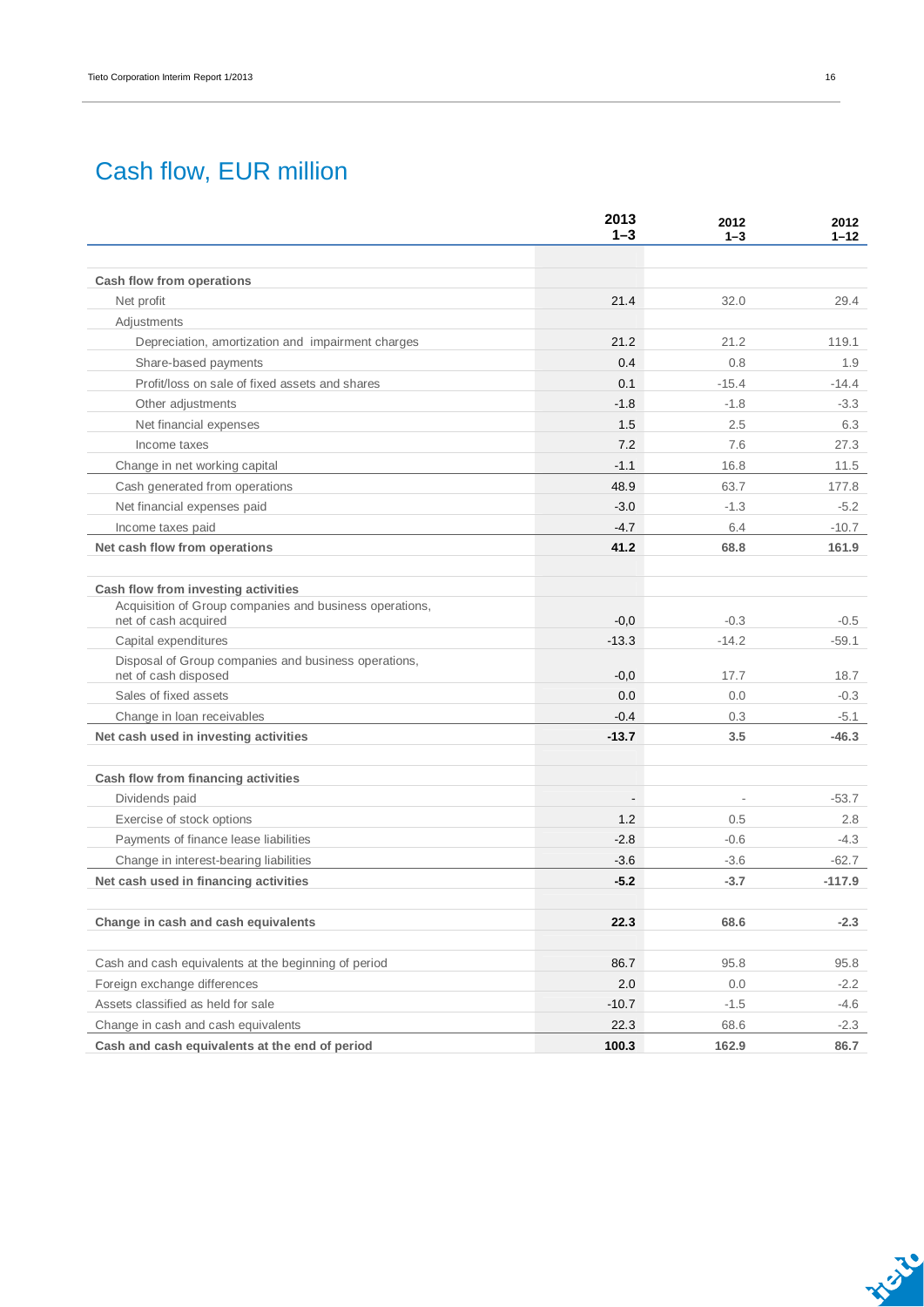### Cash flow, EUR million

|                                                                              | 2013<br>$1 - 3$          | 2012<br>$1 - 3$ | 2012<br>$1 - 12$ |
|------------------------------------------------------------------------------|--------------------------|-----------------|------------------|
|                                                                              |                          |                 |                  |
| Cash flow from operations                                                    |                          |                 |                  |
| Net profit                                                                   | 21.4                     | 32.0            | 29.4             |
| Adjustments                                                                  |                          |                 |                  |
| Depreciation, amortization and impairment charges                            | 21.2                     | 21.2            | 119.1            |
| Share-based payments                                                         | 0.4                      | 0.8             | 1.9              |
| Profit/loss on sale of fixed assets and shares                               | 0.1                      | $-15.4$         | $-14.4$          |
| Other adjustments                                                            | $-1.8$                   | $-1.8$          | $-3.3$           |
| Net financial expenses                                                       | 1.5                      | 2.5             | 6.3              |
| Income taxes                                                                 | 7.2                      | 7.6             | 27.3             |
| Change in net working capital                                                | $-1.1$                   | 16.8            | 11.5             |
| Cash generated from operations                                               | 48.9                     | 63.7            | 177.8            |
| Net financial expenses paid                                                  | $-3.0$                   | $-1.3$          | $-5.2$           |
| Income taxes paid                                                            | $-4.7$                   | 6.4             | $-10.7$          |
| Net cash flow from operations                                                | 41.2                     | 68.8            | 161.9            |
| Cash flow from investing activities                                          |                          |                 |                  |
| Acquisition of Group companies and business operations,                      |                          |                 |                  |
| net of cash acquired                                                         | $-0,0$                   | $-0.3$          | $-0.5$           |
| Capital expenditures                                                         | $-13.3$                  | $-14.2$         | $-59.1$          |
| Disposal of Group companies and business operations,<br>net of cash disposed | $-0,0$                   | 17.7            | 18.7             |
| Sales of fixed assets                                                        | 0.0                      | 0.0             | $-0.3$           |
| Change in Ioan receivables                                                   | $-0.4$                   | 0.3             | $-5.1$           |
| Net cash used in investing activities                                        | $-13.7$                  | 3.5             | $-46.3$          |
| Cash flow from financing activities                                          |                          |                 |                  |
| Dividends paid                                                               | $\overline{\phantom{a}}$ |                 | $-53.7$          |
| Exercise of stock options                                                    | 1.2                      | 0.5             | 2.8              |
| Payments of finance lease liabilities                                        | $-2.8$                   | $-0.6$          | $-4.3$           |
| Change in interest-bearing liabilities                                       | $-3.6$                   | $-3.6$          | $-62.7$          |
| Net cash used in financing activities                                        | $-5.2$                   | $-3.7$          | $-117.9$         |
| Change in cash and cash equivalents                                          | 22.3                     | 68.6            | $-2.3$           |
|                                                                              |                          |                 |                  |
| Cash and cash equivalents at the beginning of period                         | 86.7                     | 95.8            | 95.8             |
| Foreign exchange differences                                                 | 2.0                      | 0.0             | $-2.2$           |
| Assets classified as held for sale                                           | $-10.7$                  | $-1.5$          | -4.6             |
| Change in cash and cash equivalents                                          | 22.3                     | 68.6            | $-2.3$           |
| Cash and cash equivalents at the end of period                               | 100.3                    | 162.9           | 86.7             |

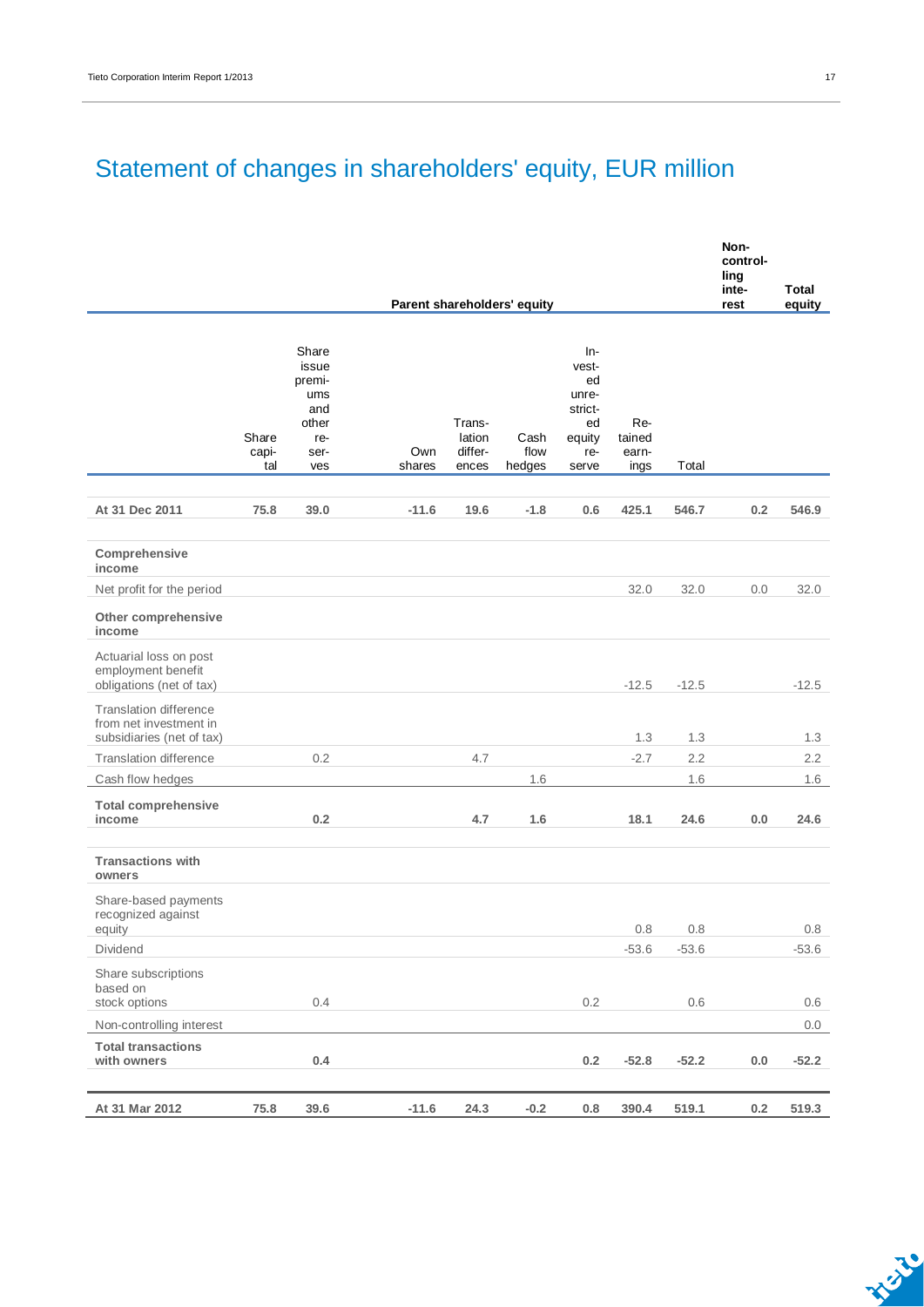## Statement of changes in shareholders' equity, EUR million

|                                                                                      |                       |                                                                       |               |                                      |                             |                                                                        |                                |         | Non-<br>control-<br>ling<br>inte- | <b>Total</b> |
|--------------------------------------------------------------------------------------|-----------------------|-----------------------------------------------------------------------|---------------|--------------------------------------|-----------------------------|------------------------------------------------------------------------|--------------------------------|---------|-----------------------------------|--------------|
|                                                                                      |                       |                                                                       |               |                                      | Parent shareholders' equity |                                                                        |                                |         | rest                              | equity       |
|                                                                                      | Share<br>capi-<br>tal | Share<br>issue<br>premi-<br>ums<br>and<br>other<br>re-<br>ser-<br>ves | Own<br>shares | Trans-<br>lation<br>differ-<br>ences | Cash<br>flow<br>hedges      | In-<br>vest-<br>ed<br>unre-<br>strict-<br>ed<br>equity<br>re-<br>serve | Re-<br>tained<br>earn-<br>ings | Total   |                                   |              |
| At 31 Dec 2011                                                                       | 75.8                  | 39.0                                                                  | $-11.6$       | 19.6                                 | $-1.8$                      | 0.6                                                                    | 425.1                          | 546.7   | 0.2                               | 546.9        |
| Comprehensive<br>income                                                              |                       |                                                                       |               |                                      |                             |                                                                        |                                |         |                                   |              |
| Net profit for the period                                                            |                       |                                                                       |               |                                      |                             |                                                                        | 32.0                           | 32.0    | 0.0                               | 32.0         |
| Other comprehensive<br>income                                                        |                       |                                                                       |               |                                      |                             |                                                                        |                                |         |                                   |              |
| Actuarial loss on post<br>employment benefit<br>obligations (net of tax)             |                       |                                                                       |               |                                      |                             |                                                                        | $-12.5$                        | $-12.5$ |                                   | $-12.5$      |
| <b>Translation difference</b><br>from net investment in<br>subsidiaries (net of tax) |                       |                                                                       |               |                                      |                             |                                                                        | 1.3                            | 1.3     |                                   | 1.3          |
| <b>Translation difference</b>                                                        |                       | 0.2                                                                   |               | 4.7                                  |                             |                                                                        | $-2.7$                         | 2.2     |                                   | 2.2          |
| Cash flow hedges                                                                     |                       |                                                                       |               |                                      | 1.6                         |                                                                        |                                | 1.6     |                                   | 1.6          |
| <b>Total comprehensive</b><br>income                                                 |                       | 0.2                                                                   |               | 4.7                                  | 1.6                         |                                                                        | 18.1                           | 24.6    | 0.0                               | 24.6         |
| <b>Transactions with</b><br>owners                                                   |                       |                                                                       |               |                                      |                             |                                                                        |                                |         |                                   |              |
| Share-based payments<br>recognized against<br>equity                                 |                       |                                                                       |               |                                      |                             |                                                                        | 0.8                            | 0.8     |                                   | 0.8          |
| Dividend                                                                             |                       |                                                                       |               |                                      |                             |                                                                        | $-53.6$                        | $-53.6$ |                                   | $-53.6$      |
| Share subscriptions<br>based on<br>stock options                                     |                       | 0.4                                                                   |               |                                      |                             | $0.2\,$                                                                |                                | $0.6\,$ |                                   | 0.6          |
| Non-controlling interest                                                             |                       |                                                                       |               |                                      |                             |                                                                        |                                |         |                                   | 0.0          |
| <b>Total transactions</b><br>with owners                                             |                       | 0.4                                                                   |               |                                      |                             | $0.2\,$                                                                | $-52.8$                        | $-52.2$ | $0.0\,$                           | $-52.2$      |
| At 31 Mar 2012                                                                       | 75.8                  | 39.6                                                                  | $-11.6$       | 24.3                                 | $-0.2$                      | $0.8\,$                                                                | 390.4                          | 519.1   | $0.2\,$                           | 519.3        |

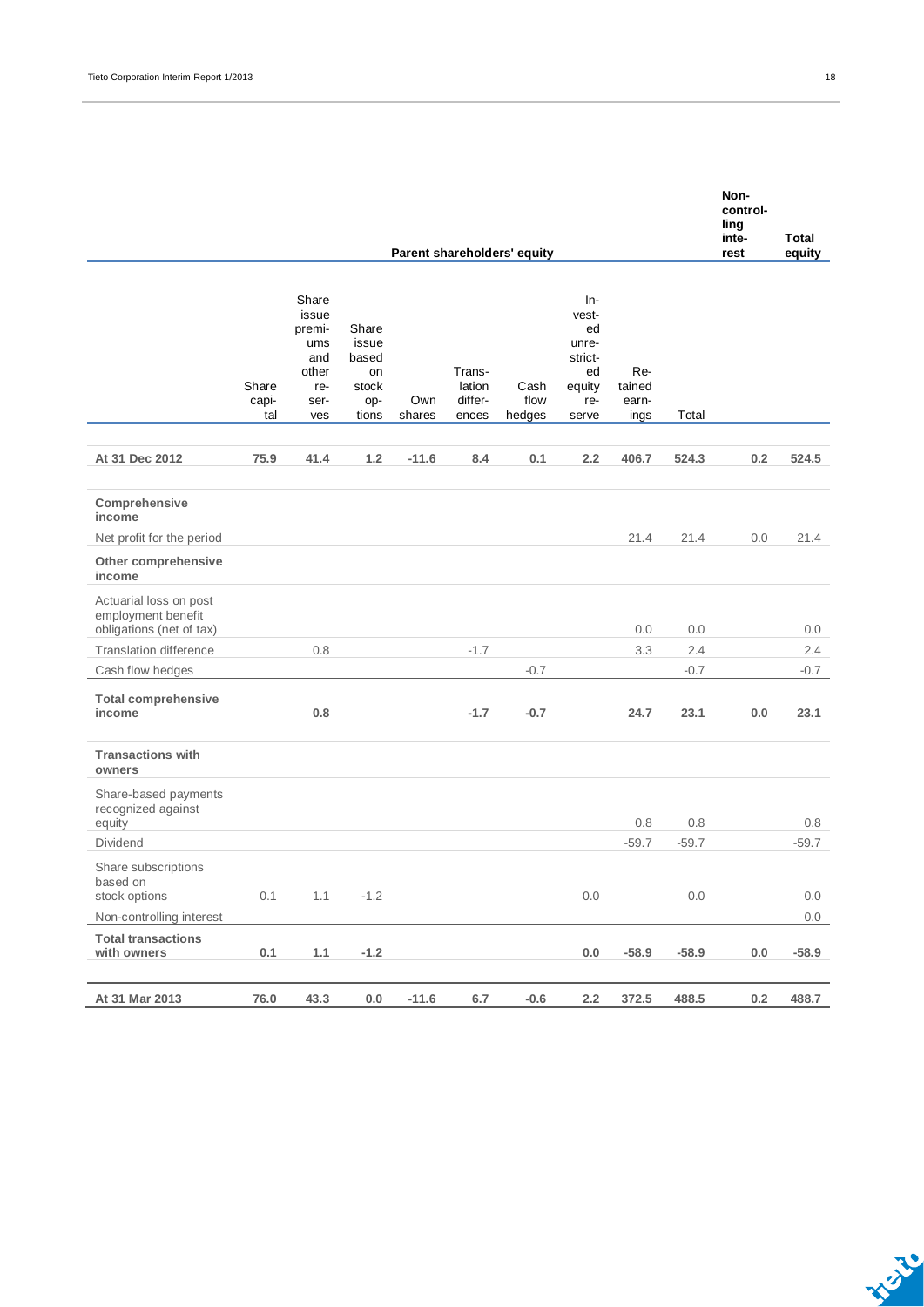|                                                                          |                       |                                                                       |                                                        |               |                                      | Parent shareholders' equity |                                                                        |                                |         | control-<br>ling<br>inte-<br>rest | <b>Total</b><br>equity |
|--------------------------------------------------------------------------|-----------------------|-----------------------------------------------------------------------|--------------------------------------------------------|---------------|--------------------------------------|-----------------------------|------------------------------------------------------------------------|--------------------------------|---------|-----------------------------------|------------------------|
|                                                                          | Share<br>capi-<br>tal | Share<br>issue<br>premi-<br>ums<br>and<br>other<br>re-<br>ser-<br>ves | Share<br>issue<br>based<br>on<br>stock<br>op-<br>tions | Own<br>shares | Trans-<br>lation<br>differ-<br>ences | Cash<br>flow<br>hedges      | In-<br>vest-<br>ed<br>unre-<br>strict-<br>ed<br>equity<br>re-<br>serve | Re-<br>tained<br>earn-<br>ings | Total   |                                   |                        |
| At 31 Dec 2012                                                           | 75.9                  | 41.4                                                                  | 1.2                                                    | $-11.6$       | 8.4                                  | 0.1                         | 2.2                                                                    | 406.7                          | 524.3   | 0.2                               | 524.5                  |
| Comprehensive<br>income                                                  |                       |                                                                       |                                                        |               |                                      |                             |                                                                        |                                |         |                                   |                        |
| Net profit for the period                                                |                       |                                                                       |                                                        |               |                                      |                             |                                                                        | 21.4                           | 21.4    | 0.0                               | 21.4                   |
| Other comprehensive<br>income                                            |                       |                                                                       |                                                        |               |                                      |                             |                                                                        |                                |         |                                   |                        |
| Actuarial loss on post<br>employment benefit<br>obligations (net of tax) |                       |                                                                       |                                                        |               |                                      |                             |                                                                        | 0.0                            | 0.0     |                                   | 0.0                    |
| <b>Translation difference</b>                                            |                       | 0.8                                                                   |                                                        |               | $-1.7$                               |                             |                                                                        | 3.3                            | 2.4     |                                   | 2.4                    |
| Cash flow hedges                                                         |                       |                                                                       |                                                        |               |                                      | $-0.7$                      |                                                                        |                                | $-0.7$  |                                   | $-0.7$                 |
| <b>Total comprehensive</b><br>income                                     |                       | 0.8                                                                   |                                                        |               | $-1.7$                               | $-0.7$                      |                                                                        | 24.7                           | 23.1    | 0.0                               | 23.1                   |
| <b>Transactions with</b><br>owners                                       |                       |                                                                       |                                                        |               |                                      |                             |                                                                        |                                |         |                                   |                        |
| Share-based payments<br>recognized against<br>equity                     |                       |                                                                       |                                                        |               |                                      |                             |                                                                        | 0.8                            | 0.8     |                                   | 0.8                    |
| Dividend                                                                 |                       |                                                                       |                                                        |               |                                      |                             |                                                                        | $-59.7$                        | $-59.7$ |                                   | $-59.7$                |
| Share subscriptions<br>based on<br>stock options                         | 0.1                   | 1.1                                                                   | $-1.2$                                                 |               |                                      |                             | 0.0                                                                    |                                | 0.0     |                                   | 0.0                    |
| Non-controlling interest                                                 |                       |                                                                       |                                                        |               |                                      |                             |                                                                        |                                |         |                                   | 0.0                    |
| <b>Total transactions</b><br>with owners                                 | 0.1                   | 1.1                                                                   | $-1.2$                                                 |               |                                      |                             | 0.0                                                                    | $-58.9$                        | $-58.9$ | 0.0                               | $-58.9$                |
| At 31 Mar 2013                                                           | 76.0                  | 43.3                                                                  | 0.0                                                    | $-11.6$       | 6.7                                  | $-0.6$                      | 2.2                                                                    | 372.5                          | 488.5   | 0.2                               | 488.7                  |

**Non-**

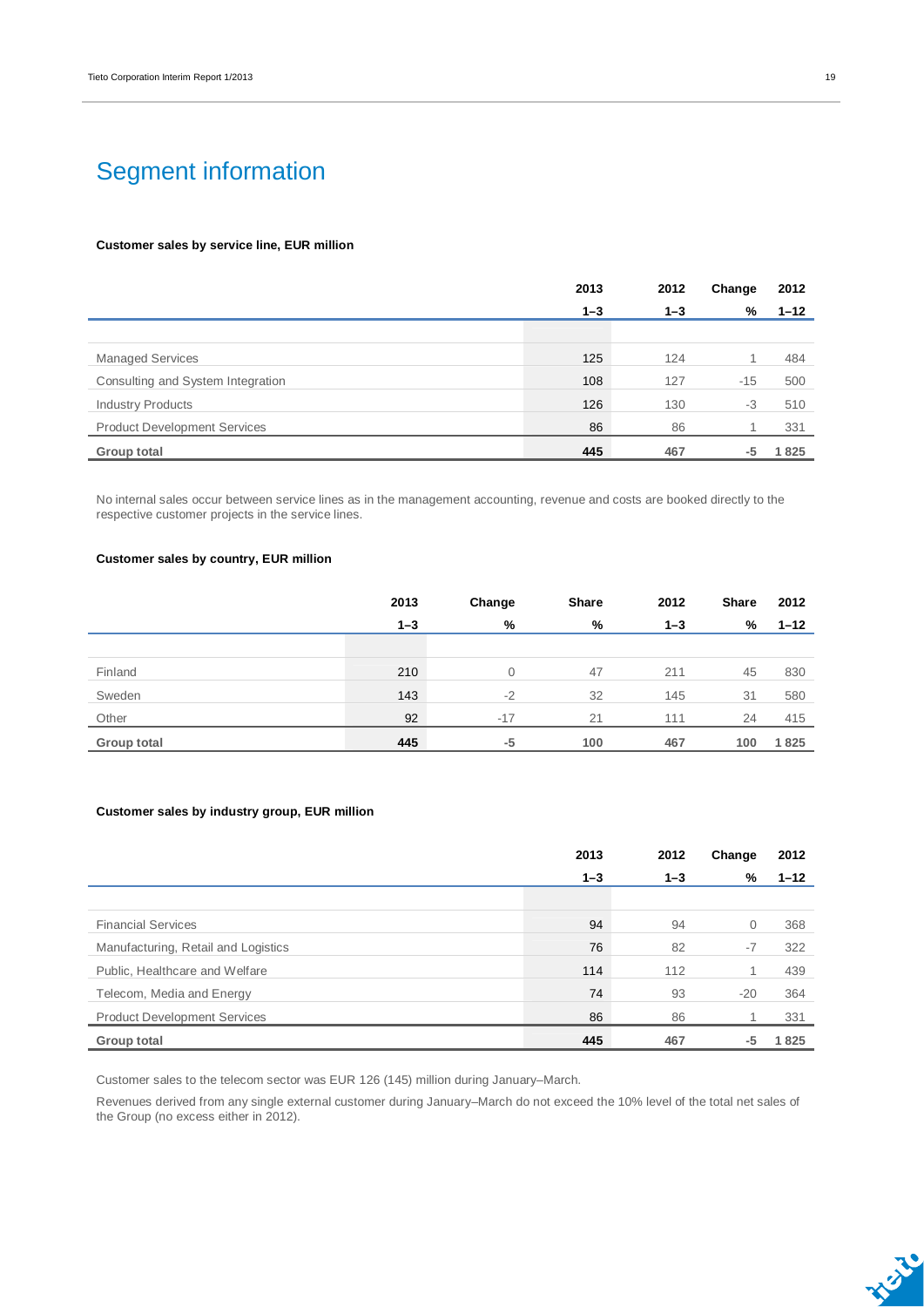### Segment information

#### **Customer sales by service line, EUR million**

|                                     | 2013    | 2012    | Change | 2012     |
|-------------------------------------|---------|---------|--------|----------|
|                                     | $1 - 3$ | $1 - 3$ | %      | $1 - 12$ |
|                                     |         |         |        |          |
| <b>Managed Services</b>             | 125     | 124     |        | 484      |
| Consulting and System Integration   | 108     | 127     | $-15$  | 500      |
| <b>Industry Products</b>            | 126     | 130     | $-3$   | 510      |
| <b>Product Development Services</b> | 86      | 86      |        | 331      |
| Group total                         | 445     | 467     | -5     | 1825     |

No internal sales occur between service lines as in the management accounting, revenue and costs are booked directly to the respective customer projects in the service lines.

#### **Customer sales by country, EUR million**

|             | 2013    | Change | <b>Share</b> | 2012    | <b>Share</b> | 2012     |
|-------------|---------|--------|--------------|---------|--------------|----------|
|             | $1 - 3$ | %      | %            | $1 - 3$ | %            | $1 - 12$ |
|             |         |        |              |         |              |          |
| Finland     | 210     | 0      | 47           | 211     | 45           | 830      |
| Sweden      | 143     | $-2$   | 32           | 145     | 31           | 580      |
| Other       | 92      | $-17$  | 21           | 111     | 24           | 415      |
| Group total | 445     | -5     | 100          | 467     | 100          | 1825     |

#### **Customer sales by industry group, EUR million**

|                                     | 2013    | 2012    | Change       | 2012     |
|-------------------------------------|---------|---------|--------------|----------|
|                                     | $1 - 3$ | $1 - 3$ | %            | $1 - 12$ |
|                                     |         |         |              |          |
| <b>Financial Services</b>           | 94      | 94      | $\mathbf{0}$ | 368      |
| Manufacturing, Retail and Logistics | 76      | 82      | $-7$         | 322      |
| Public, Healthcare and Welfare      | 114     | 112     | 1            | 439      |
| Telecom, Media and Energy           | 74      | 93      | $-20$        | 364      |
| <b>Product Development Services</b> | 86      | 86      |              | 331      |
| Group total                         | 445     | 467     | -5           | 1825     |

Customer sales to the telecom sector was EUR 126 (145) million during January–March.

Revenues derived from any single external customer during January–March do not exceed the 10% level of the total net sales of the Group (no excess either in 2012).

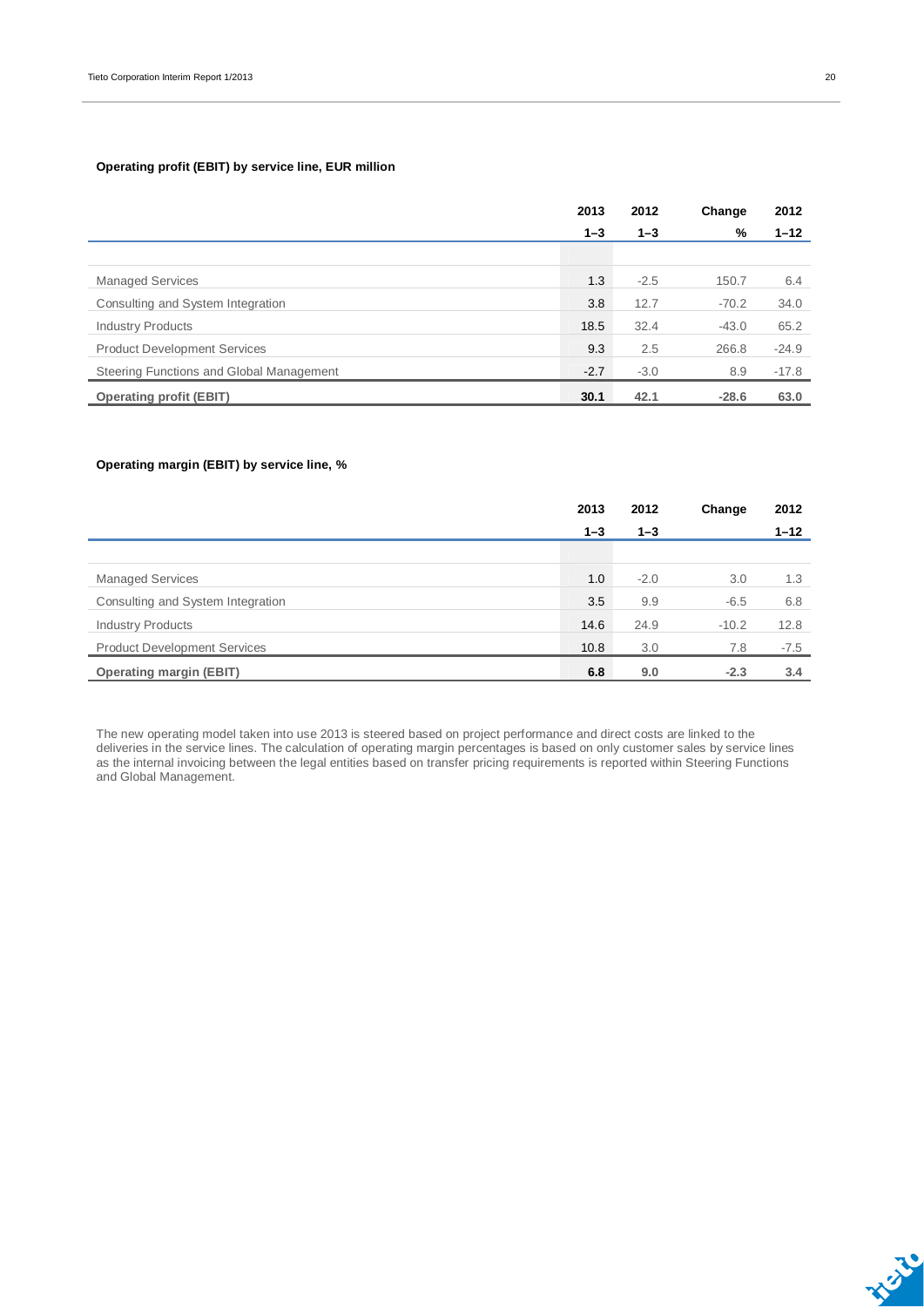#### **Operating profit (EBIT) by service line, EUR million**

|                                          | 2013    | 2012    | Change  | 2012     |
|------------------------------------------|---------|---------|---------|----------|
|                                          | $1 - 3$ | $1 - 3$ | %       | $1 - 12$ |
|                                          |         |         |         |          |
| <b>Managed Services</b>                  | 1.3     | $-2.5$  | 150.7   | 6.4      |
| Consulting and System Integration        | 3.8     | 12.7    | $-70.2$ | 34.0     |
| <b>Industry Products</b>                 | 18.5    | 32.4    | $-43.0$ | 65.2     |
| <b>Product Development Services</b>      | 9.3     | 2.5     | 266.8   | $-24.9$  |
| Steering Functions and Global Management | $-2.7$  | $-3.0$  | 8.9     | $-17.8$  |
| <b>Operating profit (EBIT)</b>           | 30.1    | 42.1    | $-28.6$ | 63.0     |

#### **Operating margin (EBIT) by service line, %**

|                                     | 2013    | 2012    | Change  | 2012     |
|-------------------------------------|---------|---------|---------|----------|
|                                     | $1 - 3$ | $1 - 3$ |         | $1 - 12$ |
|                                     |         |         |         |          |
| <b>Managed Services</b>             | 1.0     | $-2.0$  | 3.0     | 1.3      |
| Consulting and System Integration   | 3.5     | 9.9     | $-6.5$  | 6.8      |
| <b>Industry Products</b>            | 14.6    | 24.9    | $-10.2$ | 12.8     |
| <b>Product Development Services</b> | 10.8    | 3.0     | 7.8     | $-7.5$   |
| <b>Operating margin (EBIT)</b>      | 6.8     | 9.0     | $-2.3$  | 3.4      |

The new operating model taken into use 2013 is steered based on project performance and direct costs are linked to the deliveries in the service lines. The calculation of operating margin percentages is based on only customer sales by service lines as the internal invoicing between the legal entities based on transfer pricing requirements is reported within Steering Functions and Global Management.

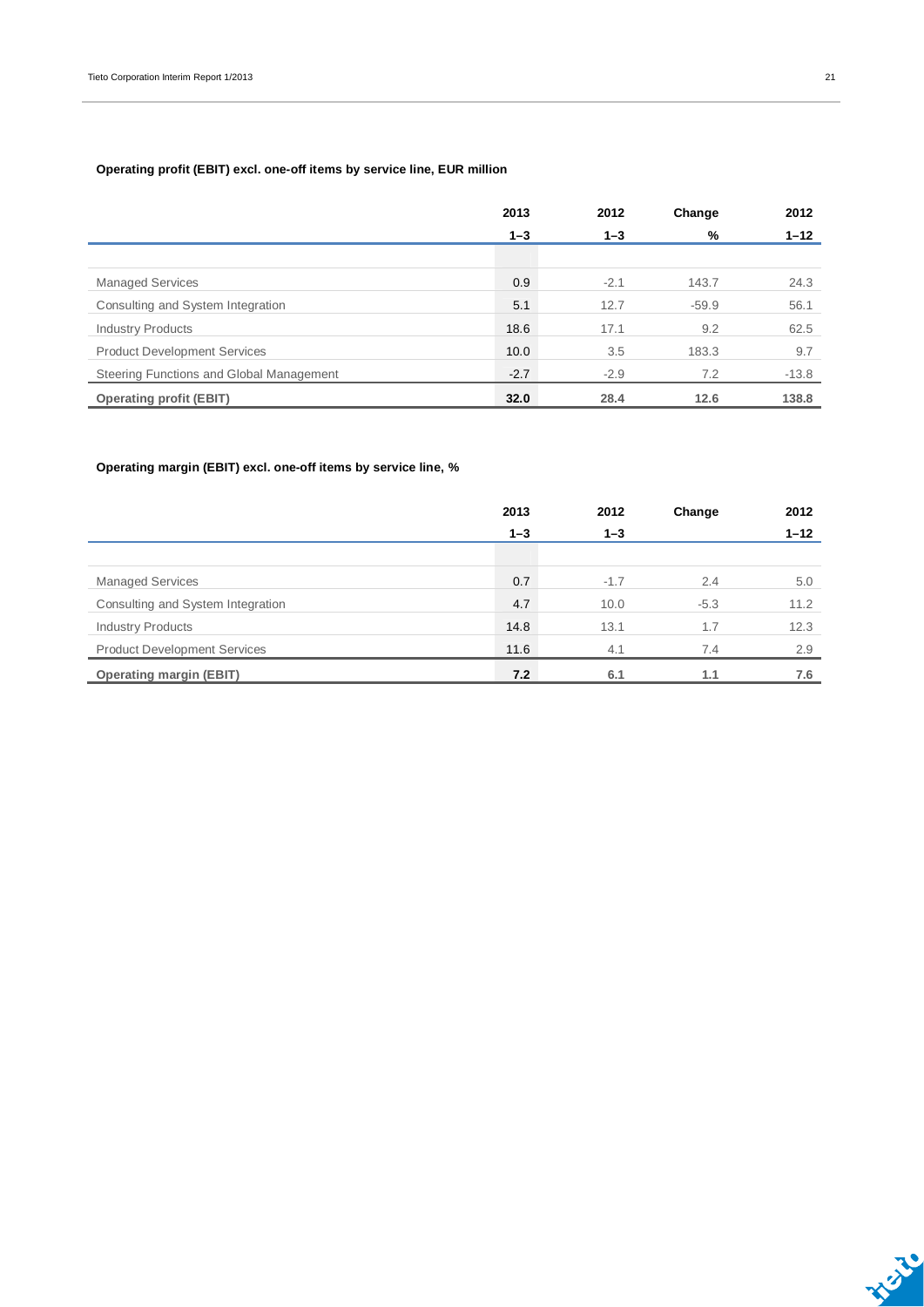#### **Operating profit (EBIT) excl. one-off items by service line, EUR million**

|                                          | 2013    | 2012    | Change  | 2012     |
|------------------------------------------|---------|---------|---------|----------|
|                                          | $1 - 3$ | $1 - 3$ | %       | $1 - 12$ |
|                                          |         |         |         |          |
| <b>Managed Services</b>                  | 0.9     | $-2.1$  | 143.7   | 24.3     |
| Consulting and System Integration        | 5.1     | 12.7    | $-59.9$ | 56.1     |
| <b>Industry Products</b>                 | 18.6    | 17.1    | 9.2     | 62.5     |
| <b>Product Development Services</b>      | 10.0    | 3.5     | 183.3   | 9.7      |
| Steering Functions and Global Management | $-2.7$  | $-2.9$  | 7.2     | $-13.8$  |
| <b>Operating profit (EBIT)</b>           | 32.0    | 28.4    | 12.6    | 138.8    |

#### **Operating margin (EBIT) excl. one-off items by service line, %**

|                                     | 2013    | 2012    | Change | 2012     |
|-------------------------------------|---------|---------|--------|----------|
|                                     | $1 - 3$ | $1 - 3$ |        | $1 - 12$ |
|                                     |         |         |        |          |
| <b>Managed Services</b>             | 0.7     | $-1.7$  | 2.4    | 5.0      |
| Consulting and System Integration   | 4.7     | 10.0    | $-5.3$ | 11.2     |
| <b>Industry Products</b>            | 14.8    | 13.1    | 1.7    | 12.3     |
| <b>Product Development Services</b> | 11.6    | 4.1     | 7.4    | 2.9      |
| <b>Operating margin (EBIT)</b>      | 7.2     | 6.1     | 1.1    | 7.6      |

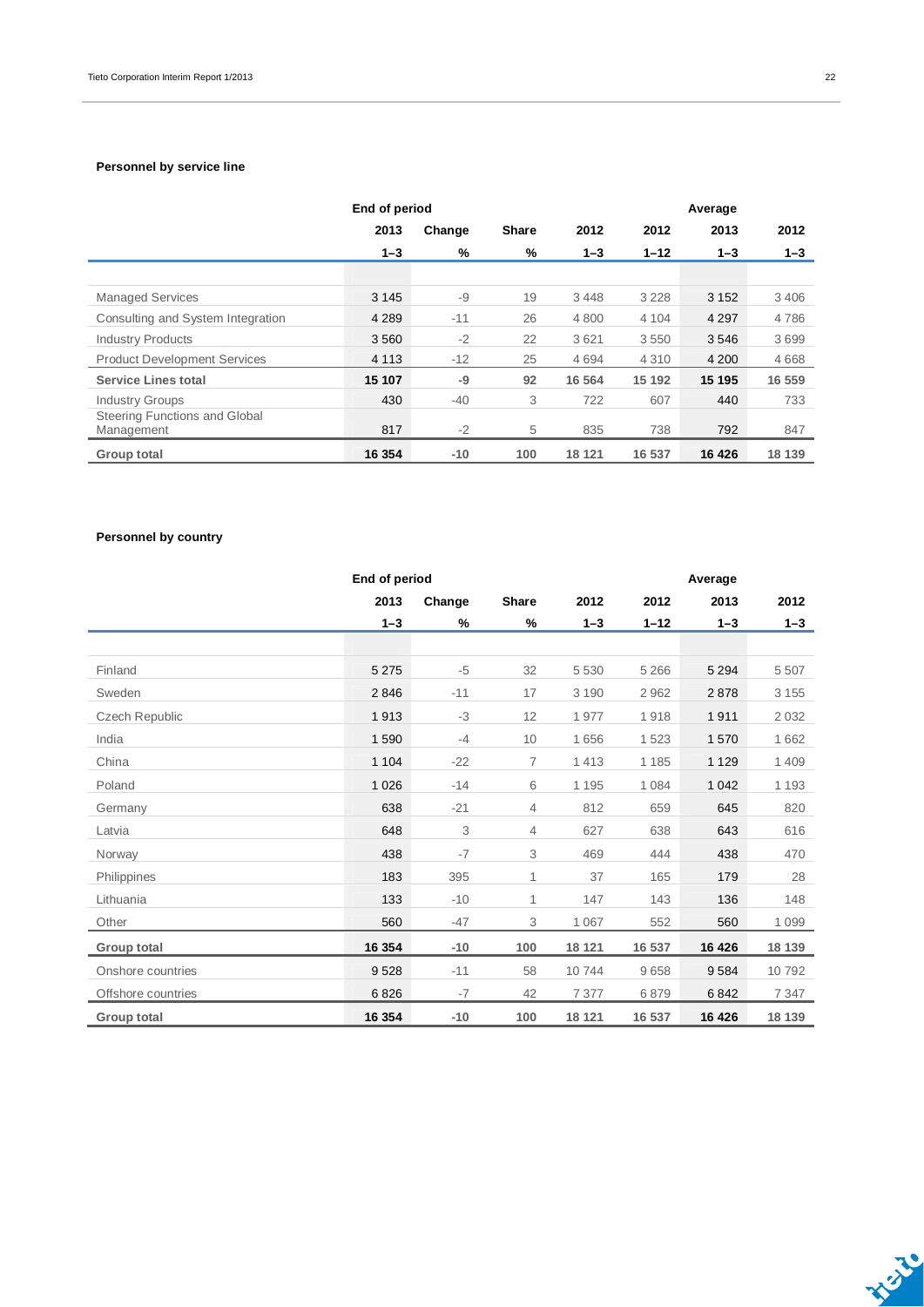#### **Personnel by service line**

|                                             | End of period |        |              |         |          | Average |         |
|---------------------------------------------|---------------|--------|--------------|---------|----------|---------|---------|
|                                             | 2013          | Change | <b>Share</b> | 2012    | 2012     | 2013    | 2012    |
|                                             | $1 - 3$       | %      | %            | $1 - 3$ | $1 - 12$ | $1 - 3$ | $1 - 3$ |
|                                             |               |        |              |         |          |         |         |
| <b>Managed Services</b>                     | 3 1 4 5       | -9     | 19           | 3 4 4 8 | 3 2 2 8  | 3 1 5 2 | 3 4 0 6 |
| Consulting and System Integration           | 4 2 8 9       | $-11$  | 26           | 4 8 0 0 | 4 1 0 4  | 4 2 9 7 | 4786    |
| <b>Industry Products</b>                    | 3560          | $-2$   | 22           | 3621    | 3550     | 3546    | 3699    |
| <b>Product Development Services</b>         | 4 1 1 3       | $-12$  | 25           | 4694    | 4 3 1 0  | 4 2 0 0 | 4668    |
| <b>Service Lines total</b>                  | 15 107        | -9     | 92           | 16 5 64 | 15 192   | 15 195  | 16 559  |
| <b>Industry Groups</b>                      | 430           | $-40$  | 3            | 722     | 607      | 440     | 733     |
| Steering Functions and Global<br>Management | 817           | $-2$   | 5            | 835     | 738      | 792     | 847     |
| <b>Group total</b>                          | 16 354        | $-10$  | 100          | 18 121  | 16 537   | 16 4 26 | 18 139  |

#### **Personnel by country**

|                       | End of period |        |                |         | Average  |         |         |
|-----------------------|---------------|--------|----------------|---------|----------|---------|---------|
|                       | 2013          | Change | Share          | 2012    | 2012     | 2013    | 2012    |
|                       | $1 - 3$       | %      | %              | $1 - 3$ | $1 - 12$ | $1 - 3$ | $1 - 3$ |
|                       |               |        |                |         |          |         |         |
| Finland               | 5 2 7 5       | $-5$   | 32             | 5 5 3 0 | 5 2 6 6  | 5 2 9 4 | 5 5 0 7 |
| Sweden                | 2846          | $-11$  | 17             | 3 1 9 0 | 2962     | 2878    | 3 1 5 5 |
| <b>Czech Republic</b> | 1913          | -3     | 12             | 1977    | 1918     | 1911    | 2 0 3 2 |
| India                 | 1590          | $-4$   | 10             | 1656    | 1523     | 1570    | 1 6 6 2 |
| China                 | 1 1 0 4       | $-22$  | $\overline{7}$ | 1413    | 1 1 8 5  | 1 1 2 9 | 1 4 0 9 |
| Poland                | 1026          | $-14$  | 6              | 1 1 9 5 | 1 0 8 4  | 1 0 4 2 | 1 1 9 3 |
| Germany               | 638           | $-21$  | 4              | 812     | 659      | 645     | 820     |
| Latvia                | 648           | 3      | $\overline{4}$ | 627     | 638      | 643     | 616     |
| Norway                | 438           | $-7$   | 3              | 469     | 444      | 438     | 470     |
| Philippines           | 183           | 395    | 1              | 37      | 165      | 179     | 28      |
| Lithuania             | 133           | $-10$  | $\mathbf{1}$   | 147     | 143      | 136     | 148     |
| Other                 | 560           | $-47$  | 3              | 1 0 6 7 | 552      | 560     | 1 0 9 9 |
| Group total           | 16 354        | $-10$  | 100            | 18 121  | 16 537   | 16 4 26 | 18 139  |
| Onshore countries     | 9528          | $-11$  | 58             | 10744   | 9658     | 9584    | 10792   |
| Offshore countries    | 6826          | $-7$   | 42             | 7 3 7 7 | 6879     | 6842    | 7 3 4 7 |
| <b>Group total</b>    | 16 3 54       | $-10$  | 100            | 18 121  | 16 537   | 16 4 26 | 18 139  |

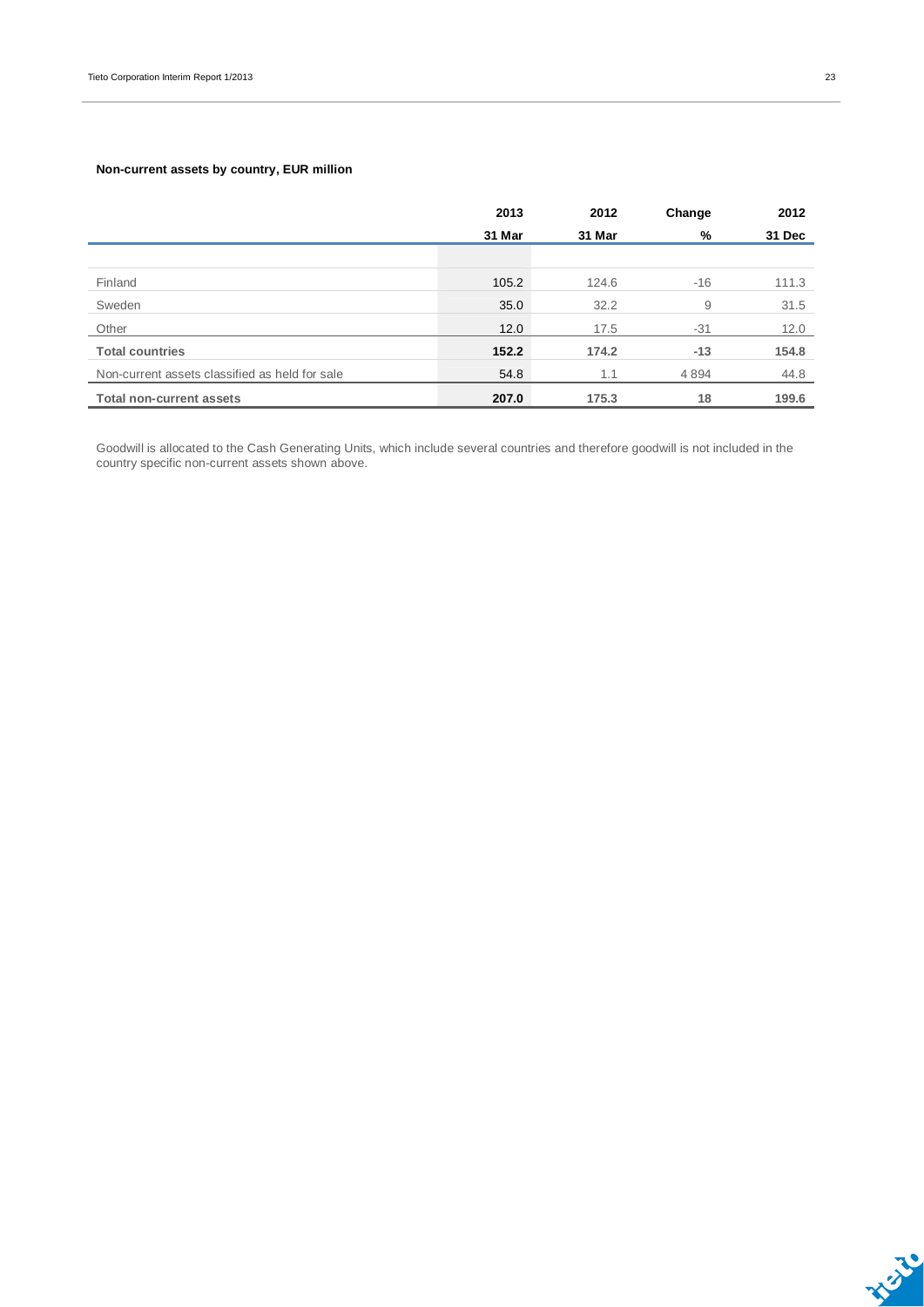#### **Non-current assets by country, EUR million**

|                                                | 2013   | 2012   | Change | 2012   |
|------------------------------------------------|--------|--------|--------|--------|
|                                                | 31 Mar | 31 Mar | %      | 31 Dec |
|                                                |        |        |        |        |
| Finland                                        | 105.2  | 124.6  | $-16$  | 111.3  |
| Sweden                                         | 35.0   | 32.2   | 9      | 31.5   |
| Other                                          | 12.0   | 17.5   | $-31$  | 12.0   |
| <b>Total countries</b>                         | 152.2  | 174.2  | $-13$  | 154.8  |
| Non-current assets classified as held for sale | 54.8   | 1.1    | 4894   | 44.8   |
| <b>Total non-current assets</b>                | 207.0  | 175.3  | 18     | 199.6  |

Goodwill is allocated to the Cash Generating Units, which include several countries and therefore goodwill is not included in the country specific non-current assets shown above.

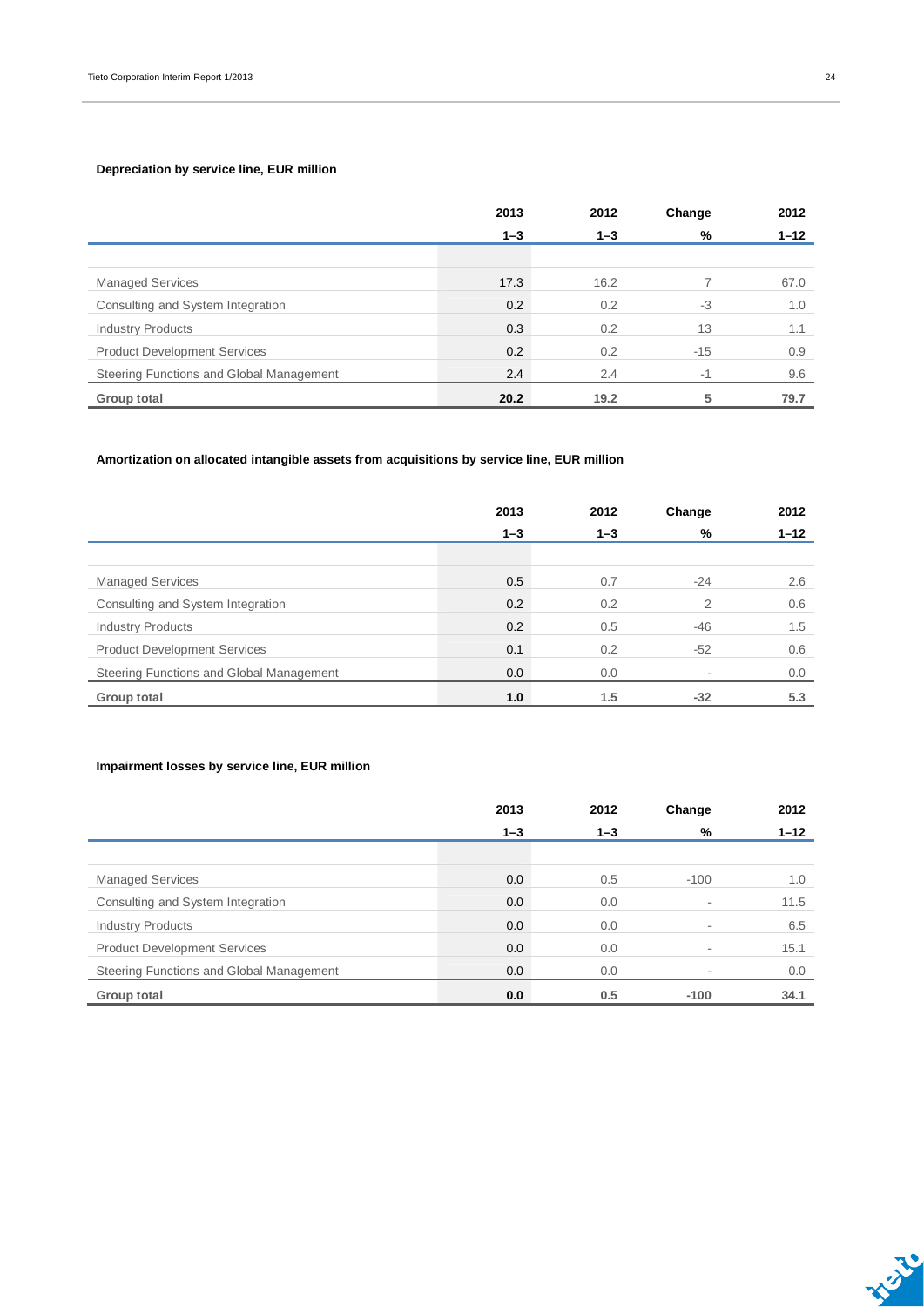#### **Depreciation by service line, EUR million**

|                                          | 2013    | 2012    | Change | 2012     |
|------------------------------------------|---------|---------|--------|----------|
|                                          | $1 - 3$ | $1 - 3$ | %      | $1 - 12$ |
|                                          |         |         |        |          |
| <b>Managed Services</b>                  | 17.3    | 16.2    |        | 67.0     |
| Consulting and System Integration        | 0.2     | 0.2     | $-3$   | 1.0      |
| <b>Industry Products</b>                 | 0.3     | 0.2     | 13     | 1.1      |
| <b>Product Development Services</b>      | 0.2     | 0.2     | $-15$  | 0.9      |
| Steering Functions and Global Management | 2.4     | 2.4     | $-4$   | 9.6      |
| Group total                              | 20.2    | 19.2    | 5      | 79.7     |

#### **Amortization on allocated intangible assets from acquisitions by service line, EUR million**

|                                          | 2013    | 2012    | Change | 2012     |
|------------------------------------------|---------|---------|--------|----------|
|                                          | $1 - 3$ | $1 - 3$ | %      | $1 - 12$ |
|                                          |         |         |        |          |
| <b>Managed Services</b>                  | 0.5     | 0.7     | $-24$  | 2.6      |
| Consulting and System Integration        | 0.2     | 0.2     | 2      | 0.6      |
| <b>Industry Products</b>                 | 0.2     | 0.5     | -46    | 1.5      |
| <b>Product Development Services</b>      | 0.1     | 0.2     | $-52$  | 0.6      |
| Steering Functions and Global Management | 0.0     | 0.0     |        | 0.0      |
| Group total                              | 1.0     | 1.5     | $-32$  | 5.3      |

#### **Impairment losses by service line, EUR million**

|                                          | 2013    | 2012    | Change | 2012     |
|------------------------------------------|---------|---------|--------|----------|
|                                          | $1 - 3$ | $1 - 3$ | %      | $1 - 12$ |
|                                          |         |         |        |          |
| <b>Managed Services</b>                  | 0.0     | 0.5     | $-100$ | 1.0      |
| Consulting and System Integration        | 0.0     | 0.0     |        | 11.5     |
| <b>Industry Products</b>                 | 0.0     | 0.0     |        | 6.5      |
| <b>Product Development Services</b>      | 0.0     | 0.0     |        | 15.1     |
| Steering Functions and Global Management | 0.0     | 0.0     |        | 0.0      |
| Group total                              | 0.0     | 0.5     | $-100$ | 34.1     |

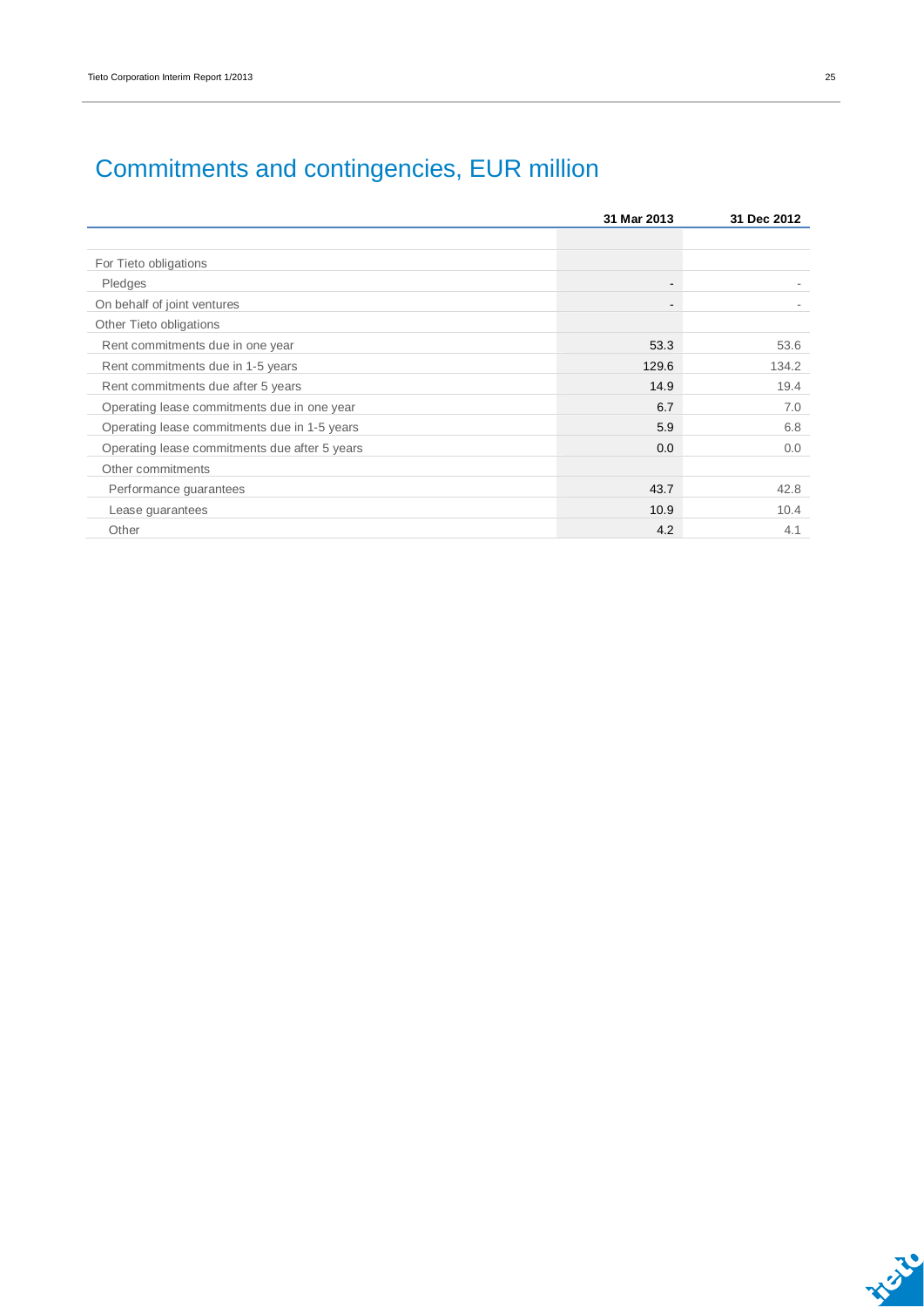|                                               | 31 Mar 2013              | 31 Dec 2012 |
|-----------------------------------------------|--------------------------|-------------|
|                                               |                          |             |
| For Tieto obligations                         |                          |             |
| Pledges                                       | $\overline{\phantom{a}}$ |             |
| On behalf of joint ventures                   | -                        |             |
| Other Tieto obligations                       |                          |             |
| Rent commitments due in one year              | 53.3                     | 53.6        |
| Rent commitments due in 1-5 years             | 129.6                    | 134.2       |
| Rent commitments due after 5 years            | 14.9                     | 19.4        |
| Operating lease commitments due in one year   | 6.7                      | 7.0         |
| Operating lease commitments due in 1-5 years  | 5.9                      | 6.8         |
| Operating lease commitments due after 5 years | 0.0                      | 0.0         |
| Other commitments                             |                          |             |
| Performance quarantees                        | 43.7                     | 42.8        |
| Lease guarantees                              | 10.9                     | 10.4        |
| Other                                         | 4.2                      | 4.1         |

## Commitments and contingencies, EUR million

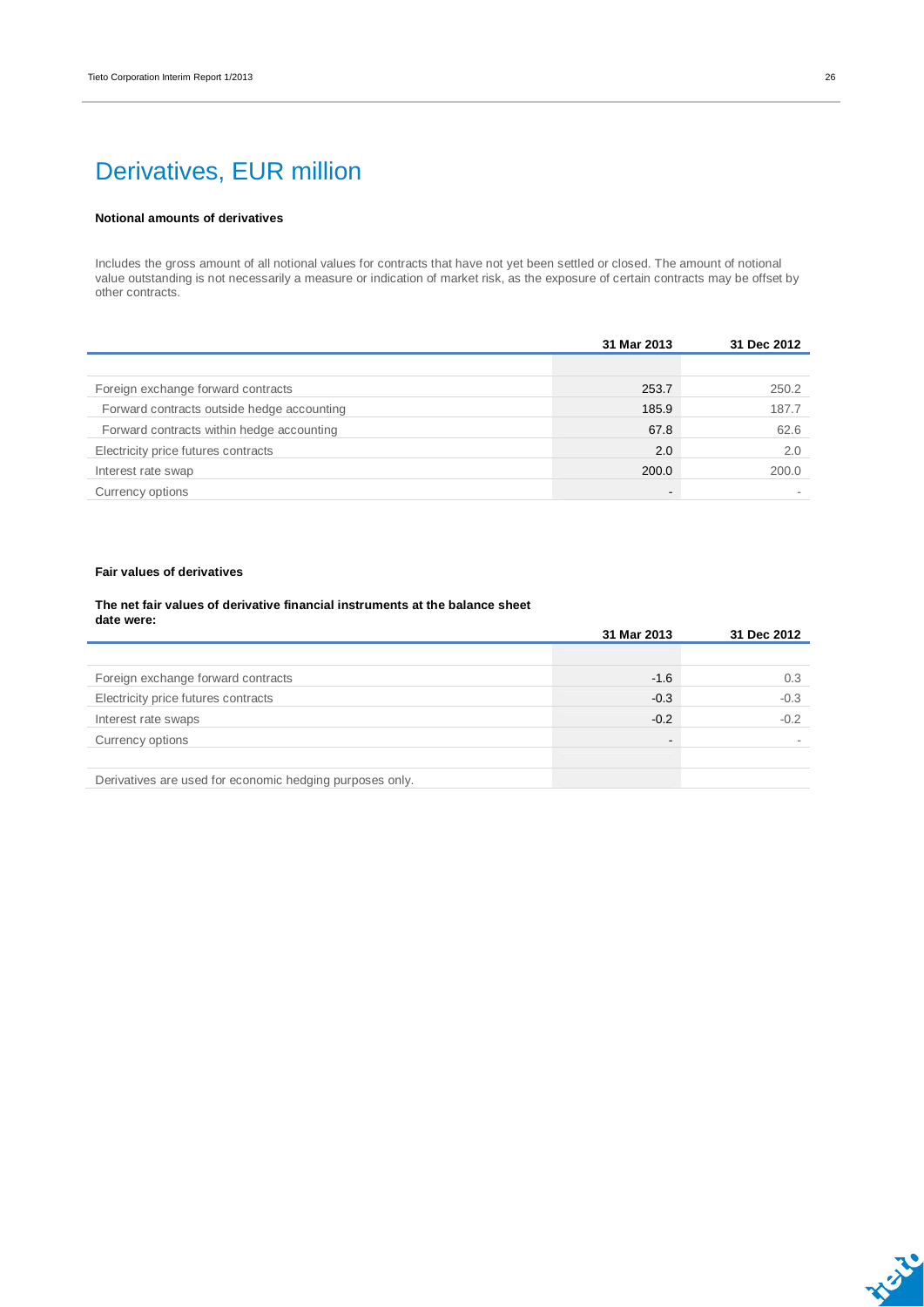### Derivatives, EUR million

#### **Notional amounts of derivatives**

Includes the gross amount of all notional values for contracts that have not yet been settled or closed. The amount of notional value outstanding is not necessarily a measure or indication of market risk, as the exposure of certain contracts may be offset by other contracts.

|                                            | 31 Mar 2013    | 31 Dec 2012 |
|--------------------------------------------|----------------|-------------|
|                                            |                |             |
| Foreign exchange forward contracts         | 253.7          | 250.2       |
| Forward contracts outside hedge accounting | 185.9          | 187.7       |
| Forward contracts within hedge accounting  | 67.8           | 62.6        |
| Electricity price futures contracts        | 2.0            | 2.0         |
| Interest rate swap                         | 200.0          | 200.0       |
| Currency options                           | $\blacksquare$ |             |

#### **Fair values of derivatives**

#### **The net fair values of derivative financial instruments at the balance sheet date were:**

|                                                          | 31 Mar 2013    | 31 Dec 2012 |
|----------------------------------------------------------|----------------|-------------|
|                                                          |                |             |
| Foreign exchange forward contracts                       | $-1.6$         | 0.3         |
| Electricity price futures contracts                      | $-0.3$         | $-0.3$      |
| Interest rate swaps                                      | $-0.2$         | $-0.2$      |
| Currency options                                         | $\blacksquare$ |             |
|                                                          |                |             |
| Derivatives are used for economic hedging purposes only. |                |             |



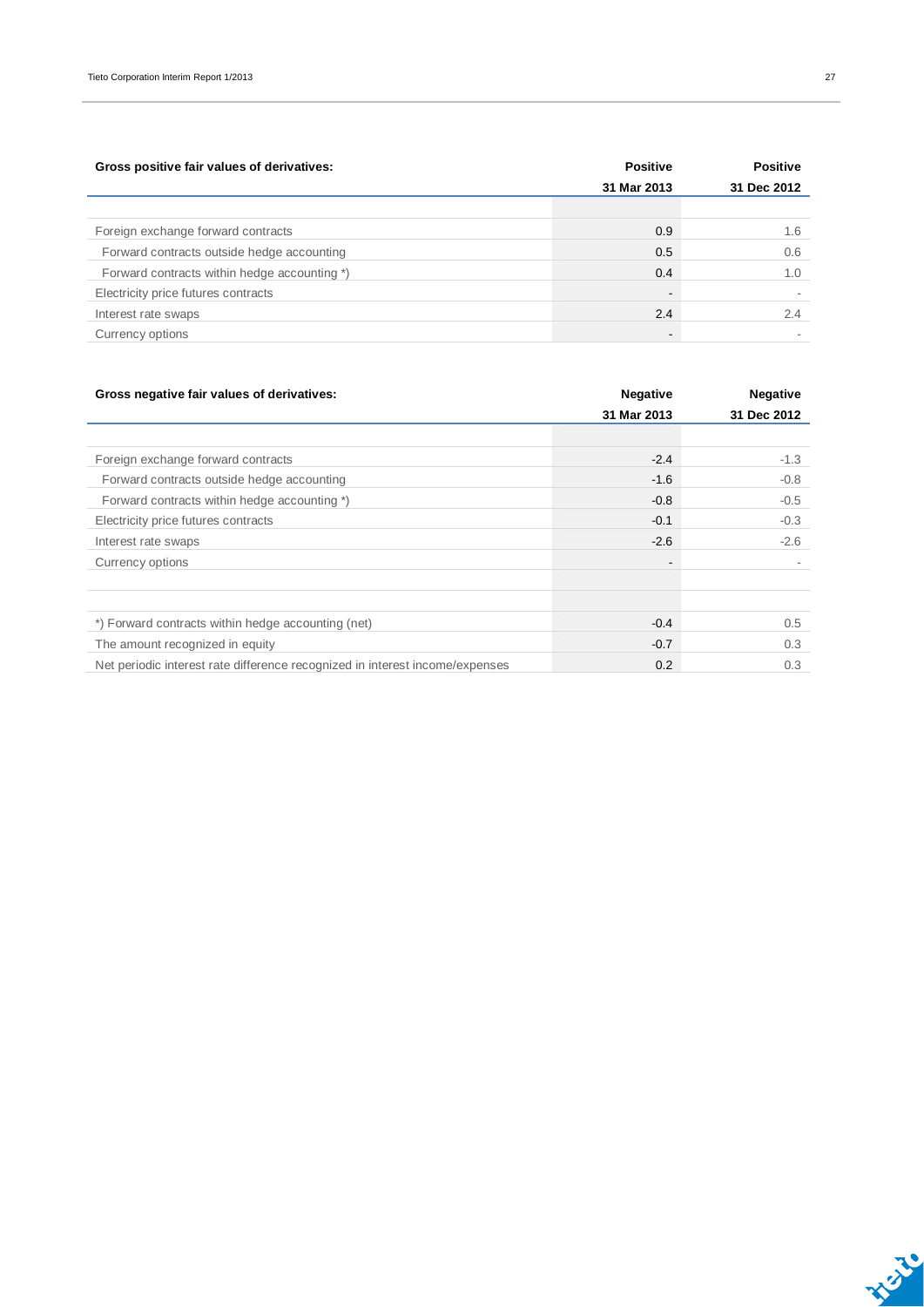| Gross positive fair values of derivatives:   | <b>Positive</b>          | <b>Positive</b> |
|----------------------------------------------|--------------------------|-----------------|
|                                              | 31 Mar 2013              | 31 Dec 2012     |
|                                              |                          |                 |
| Foreign exchange forward contracts           | 0.9                      | 1.6             |
| Forward contracts outside hedge accounting   | 0.5                      | 0.6             |
| Forward contracts within hedge accounting *) | 0.4                      | 1.0             |
| Electricity price futures contracts          | $\overline{\phantom{a}}$ |                 |
| Interest rate swaps                          | 2.4                      | 2.4             |
| Currency options                             | $\overline{\phantom{a}}$ |                 |

| Gross negative fair values of derivatives:                                   | <b>Negative</b>          | <b>Negative</b><br>31 Dec 2012 |  |
|------------------------------------------------------------------------------|--------------------------|--------------------------------|--|
|                                                                              | 31 Mar 2013              |                                |  |
|                                                                              |                          |                                |  |
| Foreign exchange forward contracts                                           | $-2.4$                   | $-1.3$                         |  |
| Forward contracts outside hedge accounting                                   | $-1.6$                   | $-0.8$                         |  |
| Forward contracts within hedge accounting *)                                 | $-0.8$                   | $-0.5$                         |  |
| Electricity price futures contracts                                          | $-0.1$                   | $-0.3$                         |  |
| Interest rate swaps                                                          | $-2.6$                   | $-2.6$                         |  |
| Currency options                                                             | $\overline{\phantom{a}}$ |                                |  |
|                                                                              |                          |                                |  |
| *) Forward contracts within hedge accounting (net)                           | $-0.4$                   | 0.5                            |  |
| The amount recognized in equity                                              | $-0.7$                   | 0.3                            |  |
| Net periodic interest rate difference recognized in interest income/expenses | 0.2                      | 0.3                            |  |

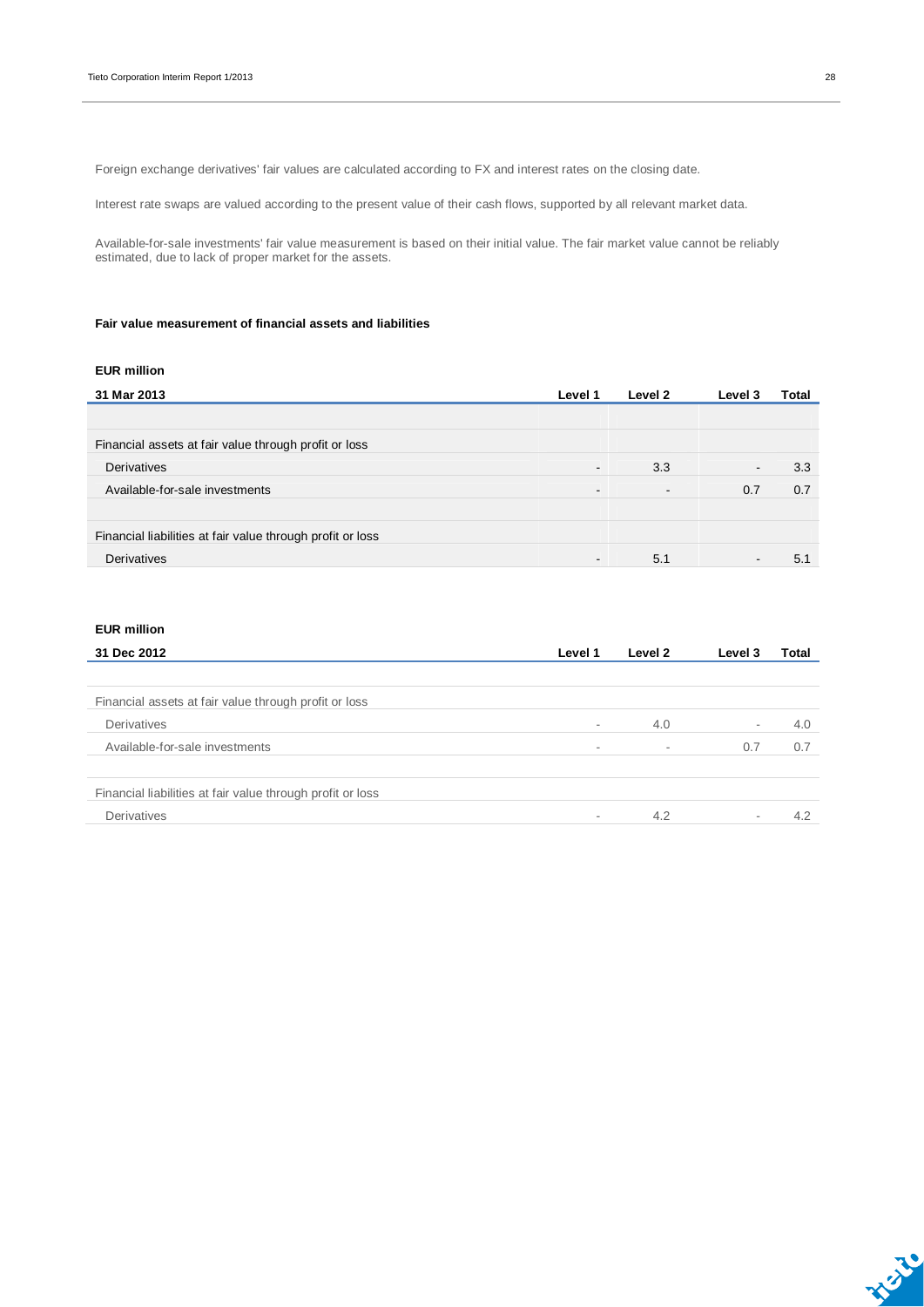Foreign exchange derivatives' fair values are calculated according to FX and interest rates on the closing date.

Interest rate swaps are valued according to the present value of their cash flows, supported by all relevant market data.

Available-for-sale investments' fair value measurement is based on their initial value. The fair market value cannot be reliably estimated, due to lack of proper market for the assets.

#### **Fair value measurement of financial assets and liabilities**

#### **EUR million**

| 31 Mar 2013                                                | Level 1                  | Level 2        | Level 3                  | Total |
|------------------------------------------------------------|--------------------------|----------------|--------------------------|-------|
|                                                            |                          |                |                          |       |
| Financial assets at fair value through profit or loss      |                          |                |                          |       |
| Derivatives                                                | $\overline{\phantom{a}}$ | 3.3            | $\overline{\phantom{a}}$ | 3.3   |
| Available-for-sale investments                             | $\overline{\phantom{a}}$ | $\blacksquare$ | 0.7                      | 0.7   |
|                                                            |                          |                |                          |       |
| Financial liabilities at fair value through profit or loss |                          |                |                          |       |
| Derivatives                                                | $\overline{\phantom{a}}$ | 5.1            | $\blacksquare$           | 5.1   |

#### **EUR million**

| 31 Dec 2012                                                | Level 1                  | Level 2 | Level 3                  | Total |
|------------------------------------------------------------|--------------------------|---------|--------------------------|-------|
|                                                            |                          |         |                          |       |
| Financial assets at fair value through profit or loss      |                          |         |                          |       |
| Derivatives                                                | $\overline{\phantom{a}}$ | 4.0     | $\overline{\phantom{a}}$ | 4.0   |
| Available-for-sale investments                             | $\overline{\phantom{a}}$ |         | 0.7                      | 0.7   |
| Financial liabilities at fair value through profit or loss |                          |         |                          |       |
| Derivatives                                                |                          | 4.2     | $\sim$                   | 4.2   |

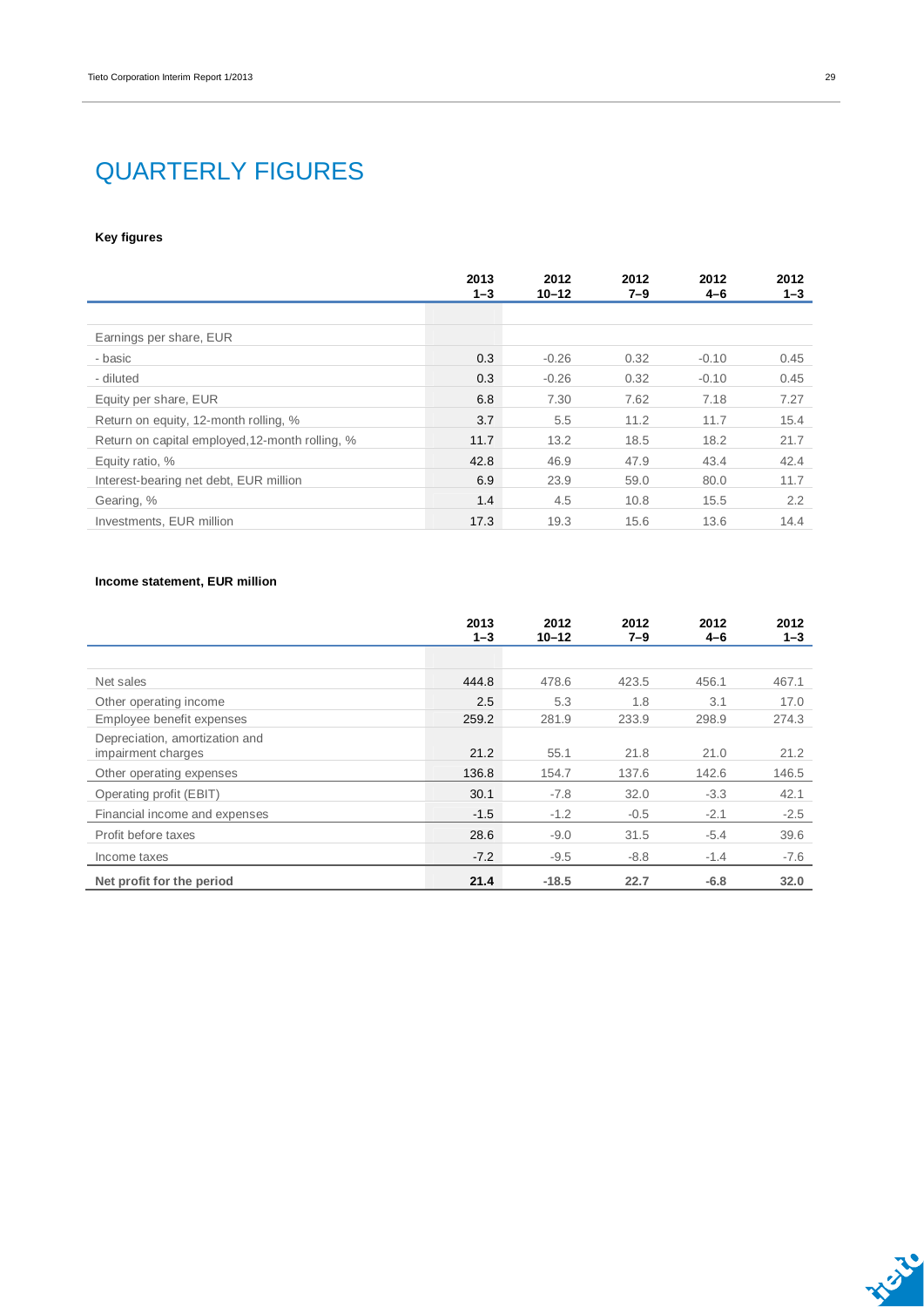### QUARTERLY FIGURES

#### **Key figures**

|                                                 | 2013<br>$1 - 3$ | 2012<br>$10 - 12$ | 2012<br>7–9 | 2012<br>4–6 | 2012<br>$1 - 3$ |
|-------------------------------------------------|-----------------|-------------------|-------------|-------------|-----------------|
|                                                 |                 |                   |             |             |                 |
| Earnings per share, EUR                         |                 |                   |             |             |                 |
| - basic                                         | 0.3             | $-0.26$           | 0.32        | $-0.10$     | 0.45            |
| - diluted                                       | 0.3             | $-0.26$           | 0.32        | $-0.10$     | 0.45            |
| Equity per share, EUR                           | 6.8             | 7.30              | 7.62        | 7.18        | 7.27            |
| Return on equity, 12-month rolling, %           | 3.7             | 5.5               | 11.2        | 11.7        | 15.4            |
| Return on capital employed, 12-month rolling, % | 11.7            | 13.2              | 18.5        | 18.2        | 21.7            |
| Equity ratio, %                                 | 42.8            | 46.9              | 47.9        | 43.4        | 42.4            |
| Interest-bearing net debt, EUR million          | 6.9             | 23.9              | 59.0        | 80.0        | 11.7            |
| Gearing, %                                      | 1.4             | 4.5               | 10.8        | 15.5        | 2.2             |
| Investments, EUR million                        | 17.3            | 19.3              | 15.6        | 13.6        | 14.4            |

#### **Income statement, EUR million**

|                                                      | 2013<br>$1 - 3$ | 2012<br>$10 - 12$ | 2012<br>$7 - 9$ | 2012<br>4-6 | 2012<br>$1 - 3$ |
|------------------------------------------------------|-----------------|-------------------|-----------------|-------------|-----------------|
|                                                      |                 |                   |                 |             |                 |
| Net sales                                            | 444.8           | 478.6             | 423.5           | 456.1       | 467.1           |
| Other operating income                               | 2.5             | 5.3               | 1.8             | 3.1         | 17.0            |
| Employee benefit expenses                            | 259.2           | 281.9             | 233.9           | 298.9       | 274.3           |
| Depreciation, amortization and<br>impairment charges | 21.2            | 55.1              | 21.8            | 21.0        | 21.2            |
| Other operating expenses                             | 136.8           | 154.7             | 137.6           | 142.6       | 146.5           |
| Operating profit (EBIT)                              | 30.1            | $-7.8$            | 32.0            | $-3.3$      | 42.1            |
| Financial income and expenses                        | $-1.5$          | $-1.2$            | $-0.5$          | $-2.1$      | $-2.5$          |
| Profit before taxes                                  | 28.6            | $-9.0$            | 31.5            | $-5.4$      | 39.6            |
| Income taxes                                         | $-7.2$          | $-9.5$            | $-8.8$          | $-1.4$      | $-7.6$          |
| Net profit for the period                            | 21.4            | $-18.5$           | 22.7            | $-6.8$      | 32.0            |



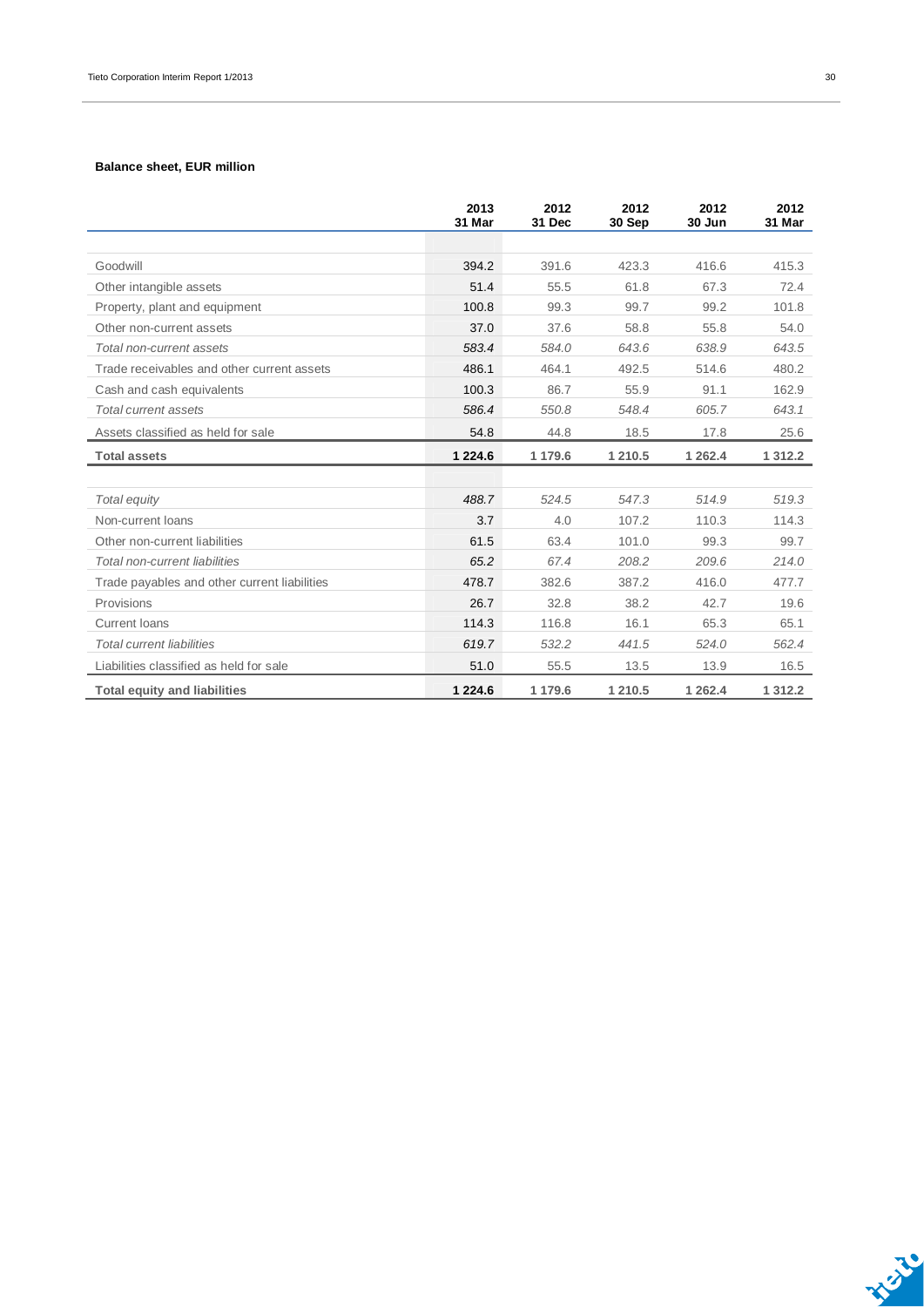#### **Balance sheet, EUR million**

|                                              | 2013<br>31 Mar | 2012<br>31 Dec | 2012<br>30 Sep | 2012<br>30 Jun | 2012<br>31 Mar |
|----------------------------------------------|----------------|----------------|----------------|----------------|----------------|
|                                              |                |                |                |                |                |
| Goodwill                                     | 394.2          | 391.6          | 423.3          | 416.6          | 415.3          |
| Other intangible assets                      | 51.4           | 55.5           | 61.8           | 67.3           | 72.4           |
| Property, plant and equipment                | 100.8          | 99.3           | 99.7           | 99.2           | 101.8          |
| Other non-current assets                     | 37.0           | 37.6           | 58.8           | 55.8           | 54.0           |
| Total non-current assets                     | 583.4          | 584.0          | 643.6          | 638.9          | 643.5          |
| Trade receivables and other current assets   | 486.1          | 464.1          | 492.5          | 514.6          | 480.2          |
| Cash and cash equivalents                    | 100.3          | 86.7           | 55.9           | 91.1           | 162.9          |
| Total current assets                         | 586.4          | 550.8          | 548.4          | 605.7          | 643.1          |
| Assets classified as held for sale           | 54.8           | 44.8           | 18.5           | 17.8           | 25.6           |
| <b>Total assets</b>                          | 1 2 2 4 .6     | 1 179.6        | 1 210.5        | 1 262.4        | 1 3 1 2 . 2    |
|                                              |                |                |                |                |                |
| Total equity                                 | 488.7          | 524.5          | 547.3          | 514.9          | 519.3          |
| Non-current loans                            | 3.7            | 4.0            | 107.2          | 110.3          | 114.3          |
| Other non-current liabilities                | 61.5           | 63.4           | 101.0          | 99.3           | 99.7           |
| Total non-current liabilities                | 65.2           | 67.4           | 208.2          | 209.6          | 214.0          |
| Trade payables and other current liabilities | 478.7          | 382.6          | 387.2          | 416.0          | 477.7          |
| Provisions                                   | 26.7           | 32.8           | 38.2           | 42.7           | 19.6           |
| <b>Current loans</b>                         | 114.3          | 116.8          | 16.1           | 65.3           | 65.1           |
| <b>Total current liabilities</b>             | 619.7          | 532.2          | 441.5          | 524.0          | 562.4          |
| Liabilities classified as held for sale      | 51.0           | 55.5           | 13.5           | 13.9           | 16.5           |
| <b>Total equity and liabilities</b>          | 1 2 2 4 . 6    | 1 179.6        | 1 210.5        | 1 2 6 2.4      | 1 3 1 2.2      |

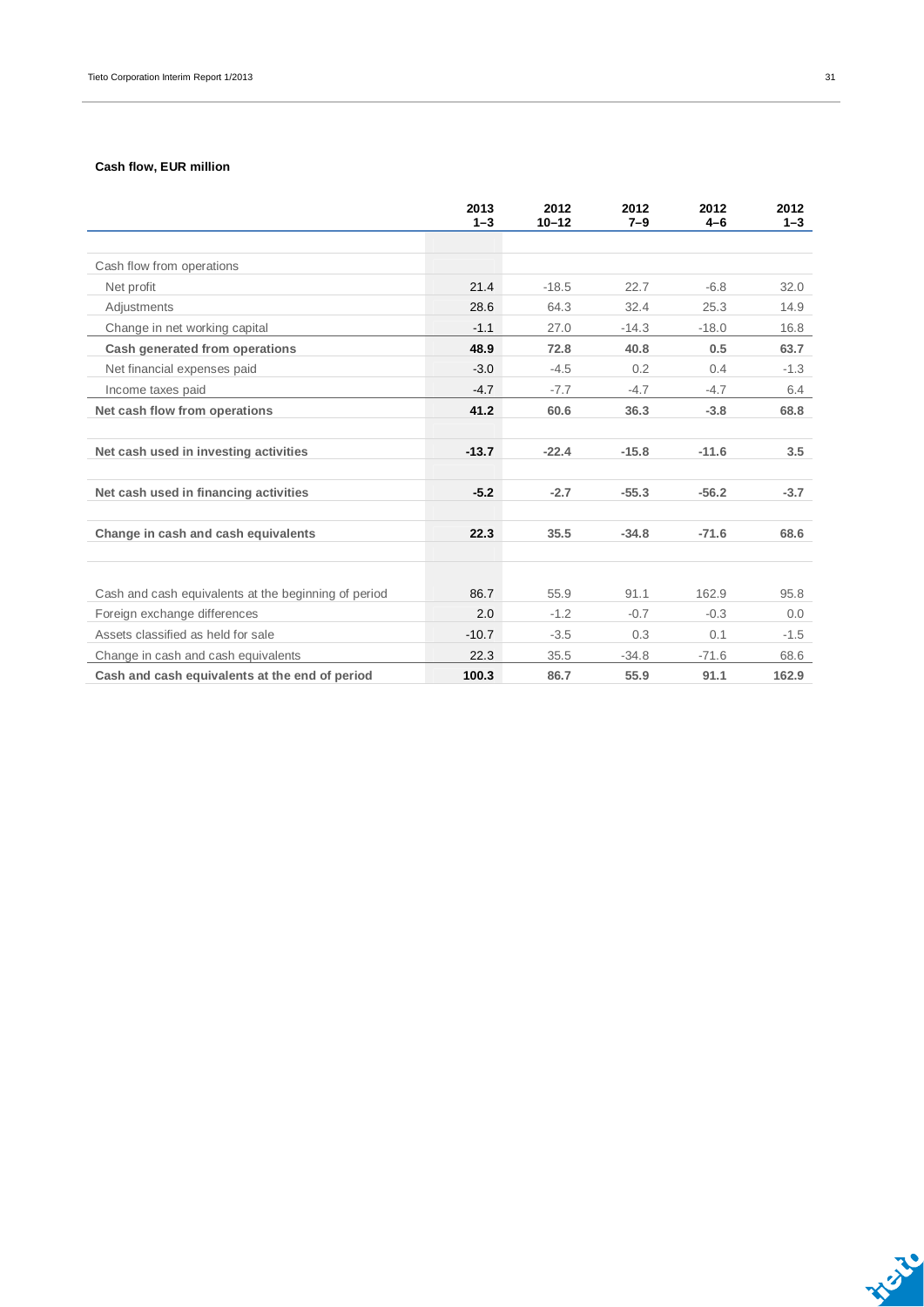#### **Cash flow, EUR million**

|                                                      | 2013<br>$1 - 3$ | 2012<br>$10 - 12$ | 2012<br>$7 - 9$ | 2012<br>$4 - 6$ | 2012<br>$1 - 3$ |
|------------------------------------------------------|-----------------|-------------------|-----------------|-----------------|-----------------|
|                                                      |                 |                   |                 |                 |                 |
| Cash flow from operations                            |                 |                   |                 |                 |                 |
| Net profit                                           | 21.4            | $-18.5$           | 22.7            | $-6.8$          | 32.0            |
| Adjustments                                          | 28.6            | 64.3              | 32.4            | 25.3            | 14.9            |
| Change in net working capital                        | $-1.1$          | 27.0              | $-14.3$         | $-18.0$         | 16.8            |
| Cash generated from operations                       | 48.9            | 72.8              | 40.8            | 0.5             | 63.7            |
| Net financial expenses paid                          | $-3.0$          | $-4.5$            | 0.2             | 0.4             | $-1.3$          |
| Income taxes paid                                    | $-4.7$          | $-7.7$            | $-4.7$          | $-4.7$          | 6.4             |
| Net cash flow from operations                        | 41.2            | 60.6              | 36.3            | $-3.8$          | 68.8            |
|                                                      |                 |                   |                 |                 |                 |
| Net cash used in investing activities                | $-13.7$         | $-22.4$           | $-15.8$         | $-11.6$         | 3.5             |
|                                                      |                 |                   |                 |                 |                 |
| Net cash used in financing activities                | $-5.2$          | $-2.7$            | $-55.3$         | $-56.2$         | $-3.7$          |
|                                                      |                 |                   |                 |                 |                 |
| Change in cash and cash equivalents                  | 22.3            | 35.5              | $-34.8$         | $-71.6$         | 68.6            |
|                                                      |                 |                   |                 |                 |                 |
|                                                      |                 |                   |                 |                 |                 |
| Cash and cash equivalents at the beginning of period | 86.7            | 55.9              | 91.1            | 162.9           | 95.8            |
| Foreign exchange differences                         | 2.0             | $-1.2$            | $-0.7$          | $-0.3$          | 0.0             |
| Assets classified as held for sale                   | $-10.7$         | $-3.5$            | 0.3             | 0.1             | $-1.5$          |
| Change in cash and cash equivalents                  | 22.3            | 35.5              | $-34.8$         | $-71.6$         | 68.6            |
| Cash and cash equivalents at the end of period       | 100.3           | 86.7              | 55.9            | 91.1            | 162.9           |

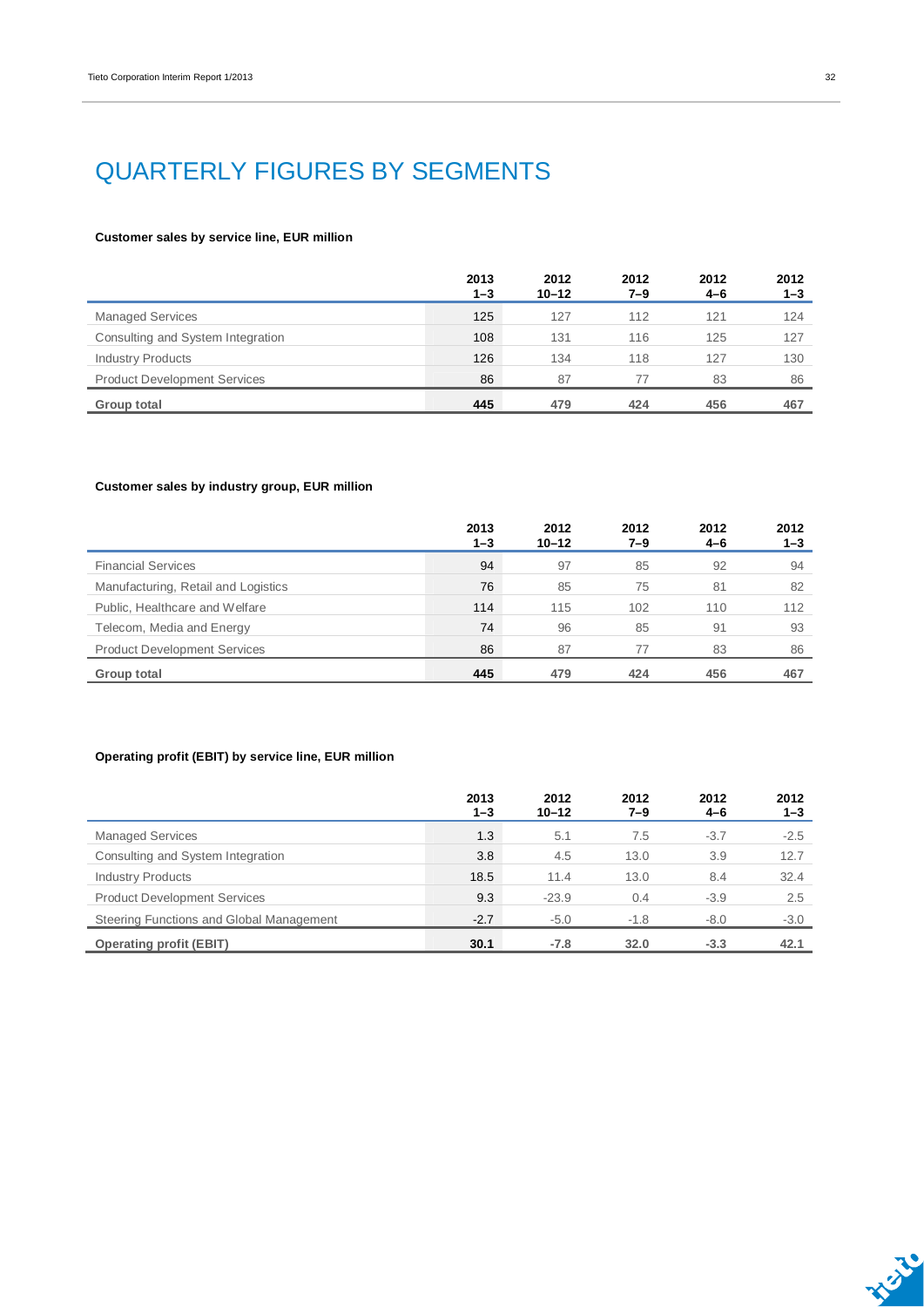### QUARTERLY FIGURES BY SEGMENTS

#### **Customer sales by service line, EUR million**

|                                     | 2013<br>$1 - 3$ | 2012<br>$10 - 12$ | 2012<br>7–9 | 2012<br>4-6 | 2012<br>$1 - 3$ |
|-------------------------------------|-----------------|-------------------|-------------|-------------|-----------------|
| <b>Managed Services</b>             | 125             | 127               | 112         | 121         | 124             |
| Consulting and System Integration   | 108             | 131               | 116         | 125         | 127             |
| <b>Industry Products</b>            | 126             | 134               | 118         | 127         | 130             |
| <b>Product Development Services</b> | 86              | 87                | 77          | 83          | 86              |
| Group total                         | 445             | 479               | 424         | 456         | 467             |

#### **Customer sales by industry group, EUR million**

|                                     | 2013<br>$1 - 3$ | 2012<br>$10 - 12$ | 2012<br>7–9 | 2012<br>$4 - 6$ | 2012<br>$1 - 3$ |
|-------------------------------------|-----------------|-------------------|-------------|-----------------|-----------------|
| <b>Financial Services</b>           | 94              | 97                | 85          | 92              | 94              |
| Manufacturing, Retail and Logistics | 76              | 85                | 75          | 81              | 82              |
| Public, Healthcare and Welfare      | 114             | 115               | 102         | 110             | 112             |
| Telecom, Media and Energy           | 74              | 96                | 85          | 91              | 93              |
| <b>Product Development Services</b> | 86              | 87                | 77          | 83              | 86              |
| Group total                         | 445             | 479               | 424         | 456             | 467             |

#### **Operating profit (EBIT) by service line, EUR million**

|                                          | 2013<br>$1 - 3$ | 2012<br>$10 - 12$ | 2012<br>$7 - 9$ | 2012<br>$4 - 6$ | 2012<br>$1 - 3$ |
|------------------------------------------|-----------------|-------------------|-----------------|-----------------|-----------------|
| <b>Managed Services</b>                  | 1.3             | 5.1               | 7.5             | $-3.7$          | $-2.5$          |
| Consulting and System Integration        | 3.8             | 4.5               | 13.0            | 3.9             | 12.7            |
| <b>Industry Products</b>                 | 18.5            | 11.4              | 13.0            | 8.4             | 32.4            |
| <b>Product Development Services</b>      | 9.3             | $-23.9$           | 0.4             | $-3.9$          | 2.5             |
| Steering Functions and Global Management | $-2.7$          | $-5.0$            | $-1.8$          | $-8.0$          | $-3.0$          |
| <b>Operating profit (EBIT)</b>           | 30.1            | $-7.8$            | 32.0            | $-3.3$          | 42.1            |

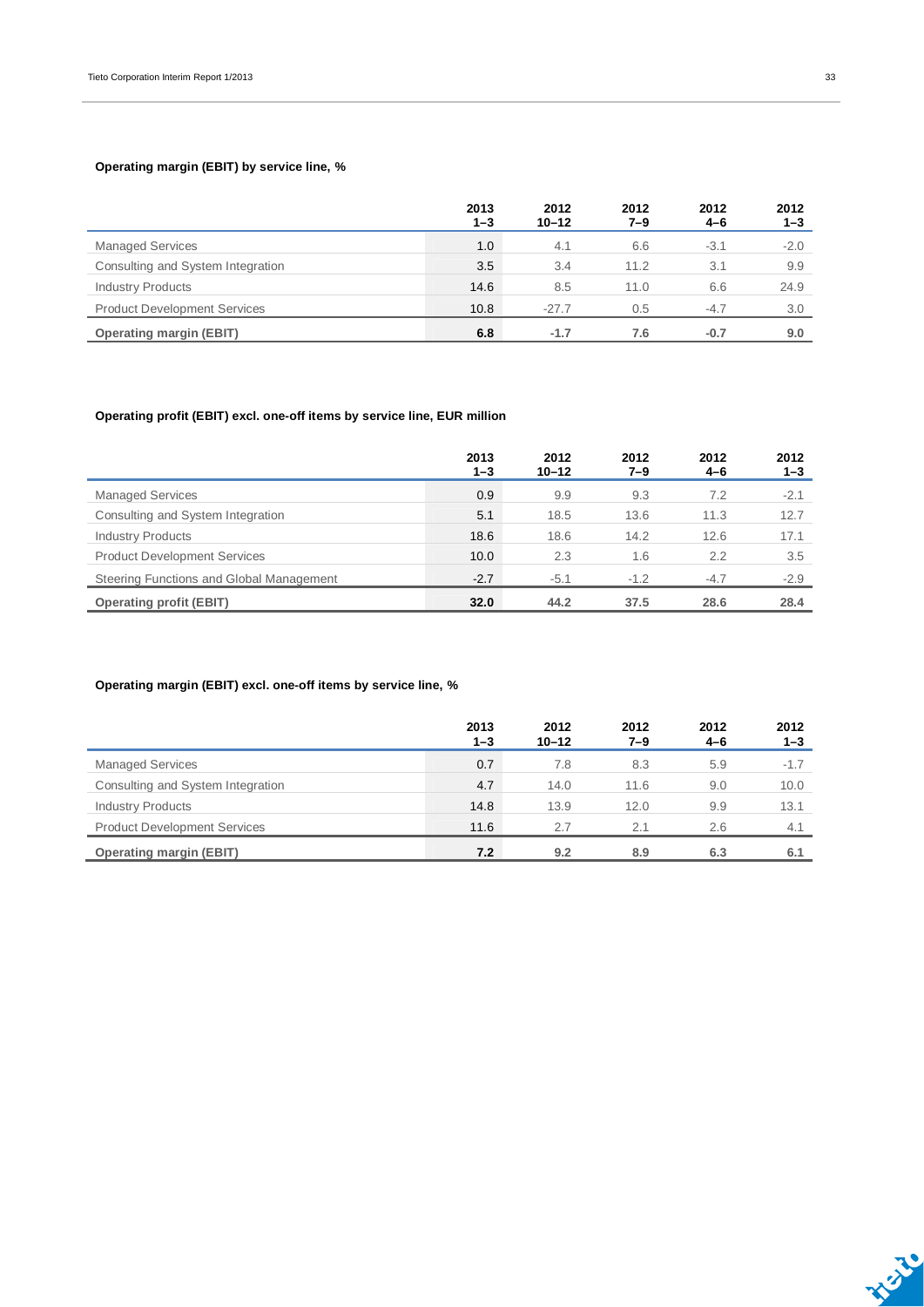#### **Operating margin (EBIT) by service line, %**

|                                     | 2013<br>$1 - 3$ | 2012<br>$10 - 12$ | 2012<br>7–9 | 2012<br>4-6 | 2012<br>$1 - 3$ |
|-------------------------------------|-----------------|-------------------|-------------|-------------|-----------------|
| <b>Managed Services</b>             | 1.0             | 4.1               | 6.6         | $-3.1$      | $-2.0$          |
| Consulting and System Integration   | 3.5             | 3.4               | 11.2        | 3.1         | 9.9             |
| <b>Industry Products</b>            | 14.6            | 8.5               | 11.0        | 6.6         | 24.9            |
| <b>Product Development Services</b> | 10.8            | $-27.7$           | 0.5         | $-4.7$      | 3.0             |
| <b>Operating margin (EBIT)</b>      | 6.8             | $-1.7$            | 7.6         | $-0.7$      | 9.0             |

#### **Operating profit (EBIT) excl. one-off items by service line, EUR million**

|                                          | 2013<br>$1 - 3$ | 2012<br>$10 - 12$ | 2012<br>$7 - 9$ | 2012<br>$4 - 6$ | 2012<br>1–3 |
|------------------------------------------|-----------------|-------------------|-----------------|-----------------|-------------|
| <b>Managed Services</b>                  | 0.9             | 9.9               | 9.3             | 7.2             | $-2.1$      |
| Consulting and System Integration        | 5.1             | 18.5              | 13.6            | 11.3            | 12.7        |
| <b>Industry Products</b>                 | 18.6            | 18.6              | 14.2            | 12.6            | 17.1        |
| <b>Product Development Services</b>      | 10.0            | 2.3               | 1.6             | 2.2             | 3.5         |
| Steering Functions and Global Management | $-2.7$          | $-5.1$            | $-1.2$          | $-4.7$          | $-2.9$      |
| <b>Operating profit (EBIT)</b>           | 32.0            | 44.2              | 37.5            | 28.6            | 28.4        |

#### **Operating margin (EBIT) excl. one-off items by service line, %**

|                                     | 2013<br>$1 - 3$ | 2012<br>$10 - 12$ | 2012<br>7–9 | 2012<br>4-6 | 2012<br>$1 - 3$ |
|-------------------------------------|-----------------|-------------------|-------------|-------------|-----------------|
| <b>Managed Services</b>             | 0.7             | 7.8               | 8.3         | 5.9         | $-1.7$          |
| Consulting and System Integration   | 4.7             | 14.0              | 11.6        | 9.0         | 10.0            |
| <b>Industry Products</b>            | 14.8            | 13.9              | 12.0        | 9.9         | 13.1            |
| <b>Product Development Services</b> | 11.6            | 2.7               | 2.1         | 2.6         | 4.1             |
| <b>Operating margin (EBIT)</b>      | 7.2             | 9.2               | 8.9         | 6.3         | 6.1             |

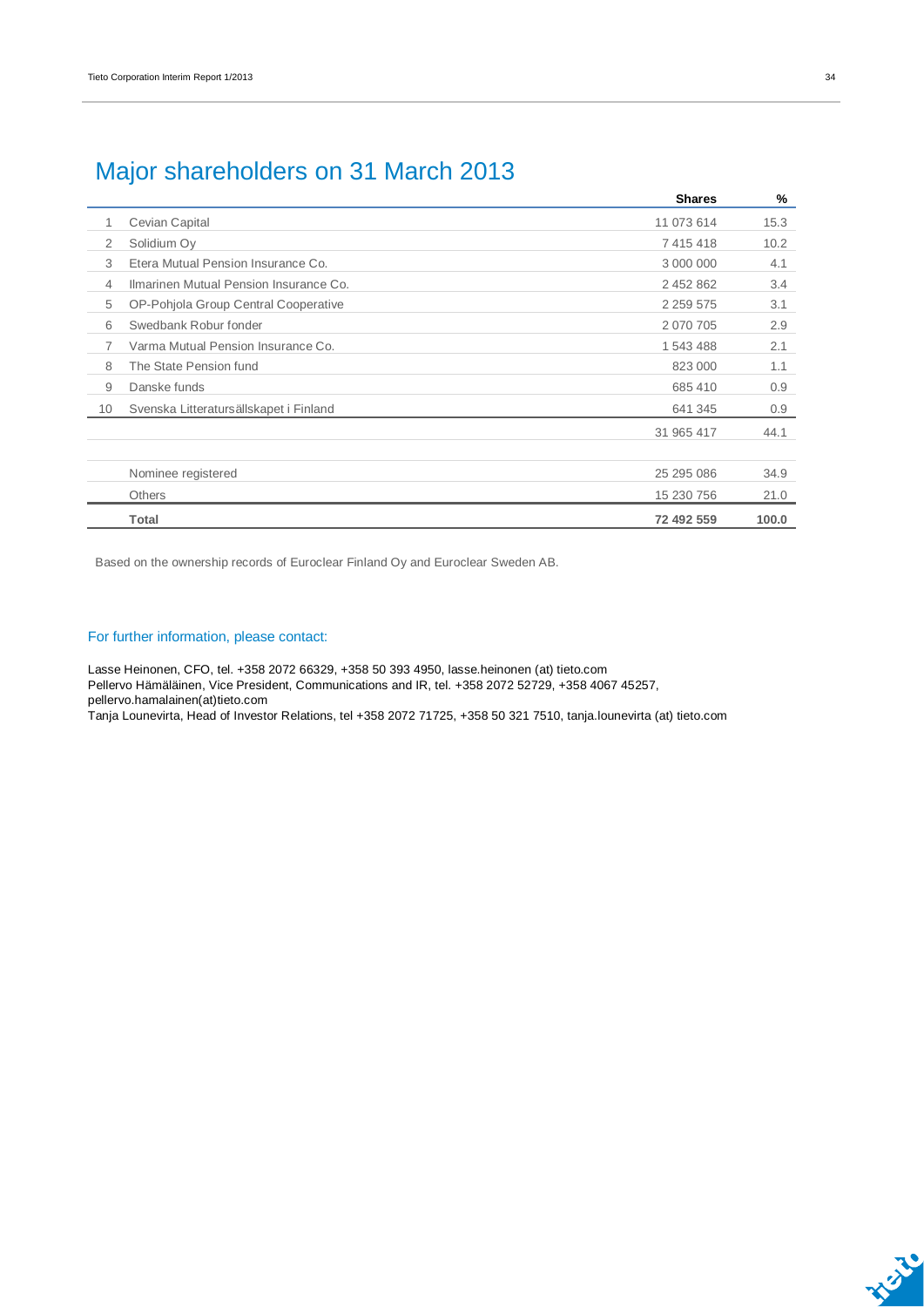### Major shareholders on 31 March 2013

|                |                                        | <b>Shares</b> | %     |
|----------------|----------------------------------------|---------------|-------|
|                | Cevian Capital                         | 11 073 614    | 15.3  |
| 2              | Solidium Oy                            | 7415418       | 10.2  |
| 3              | Etera Mutual Pension Insurance Co.     | 3 000 000     | 4.1   |
| 4              | Ilmarinen Mutual Pension Insurance Co. | 2 452 862     | 3.4   |
| 5              | OP-Pohjola Group Central Cooperative   | 2 2 5 9 5 7 5 | 3.1   |
| 6              | Swedbank Robur fonder                  | 2 070 705     | 2.9   |
| $\overline{7}$ | Varma Mutual Pension Insurance Co.     | 1 543 488     | 2.1   |
| 8              | The State Pension fund                 | 823 000       | 1.1   |
| 9              | Danske funds                           | 685 410       | 0.9   |
| 10             | Svenska Litteratursällskapet i Finland | 641 345       | 0.9   |
|                |                                        | 31 965 417    | 44.1  |
|                |                                        |               |       |
|                | Nominee registered                     | 25 295 086    | 34.9  |
|                | <b>Others</b>                          | 15 230 756    | 21.0  |
|                | Total                                  | 72 492 559    | 100.0 |

Based on the ownership records of Euroclear Finland Oy and Euroclear Sweden AB.

#### For further information, please contact:

Lasse Heinonen, CFO, tel. +358 2072 66329, +358 50 393 4950, lasse.heinonen (at) tieto.com Pellervo Hämäläinen, Vice President, Communications and IR, tel. +358 2072 52729, +358 4067 45257, pellervo.hamalainen(at)tieto.com

Tanja Lounevirta, Head of Investor Relations, tel +358 2072 71725, +358 50 321 7510, tanja.lounevirta (at) tieto.com